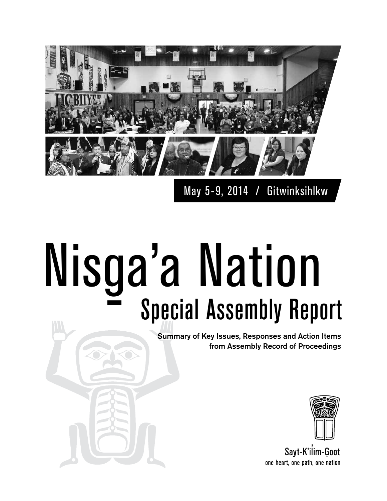

May 5-9, 2014 / Gitwinksihlkw

# Nisg <u>u</u> a'a Nation Special Assembly Report

Summary of Key Issues, Responses and Action Items from Assembly Record of Proceedings



Sayt-K'ilim-Goot one heart, one path, one nation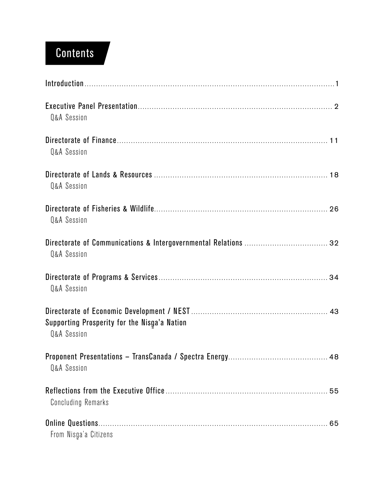# **Contents**

| Q&A Session                                                            |
|------------------------------------------------------------------------|
| Q&A Session                                                            |
| <b>Q&amp;A Session</b>                                                 |
| <b>Q&amp;A Session</b>                                                 |
| <b>Q&amp;A Session</b>                                                 |
| <b>Q&amp;A Session</b>                                                 |
| Supporting Prosperity for the Nisga'a Nation<br><b>Q&amp;A Session</b> |
| <b>Q&amp;A Session</b>                                                 |
| 55<br><b>Concluding Remarks</b>                                        |
| From Nisga'a Citizens                                                  |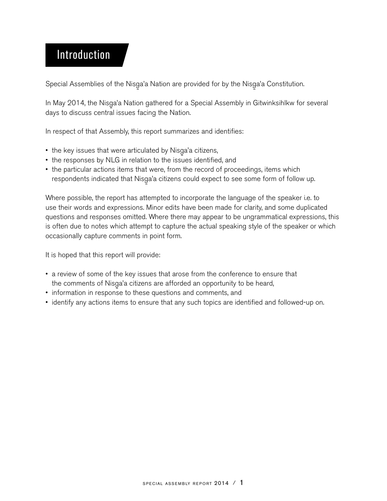## Introduction

Special Assemblies of the Nisga'a Nation are provided for by the Nisga'a Constitution.<br>.

In May 2014, the Nisga'a Nation gathered for a Special Assembly in Gitwinksihlkw for several<br>days to discuss sentral issues facing the Nation days to discuss central issues facing the Nation.

In respect of that Assembly, this report summarizes and identifies:

- the key issues that were articulated by Nisga'a citizens,<br>a the responses by NLC in relation to the issues identifies
- the responses by NLG in relation to the issues identified, and
- the particular actions items that were, from the record of proceedings, items which respondents indicated that Nisga'a citizens could expect to see some form of follow up.<br>.

Where possible, the report has attempted to incorporate the language of the speaker i.e. to use their words and expressions. Minor edits have been made for clarity, and some duplicated questions and responses omitted. Where there may appear to be ungrammatical expressions, this is often due to notes which attempt to capture the actual speaking style of the speaker or which occasionally capture comments in point form.

It is hoped that this report will provide:

- a review of some of the key issues that arose from the conference to ensure that the comments of Nisga'a citizens are afforded an opportunity to be heard,<br>information in reapance to these questions and commente and
- information in response to these questions and comments, and
- identify any actions items to ensure that any such topics are identified and followed-up on.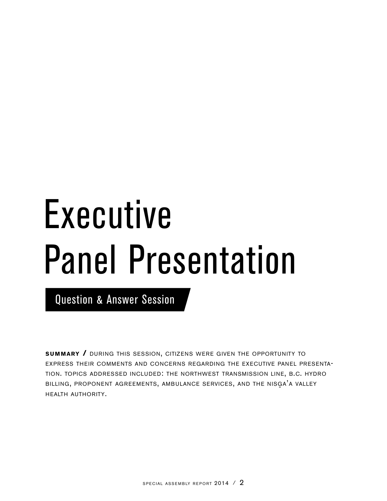# Executive Panel Presentation

Question & Answer Session

**summary / DURING THIS SESSION, CITIZENS WERE GIVEN THE OPPORTUNITY TO** express their comments and concerns regarding the executive panel presentation. topics addressed included: the northwest transmission line, b.c. hydro BILLING, PROPONENT AGREEMENTS, AMBULANCE SERVICES, AND THE NISGA'A VALLEY health authority.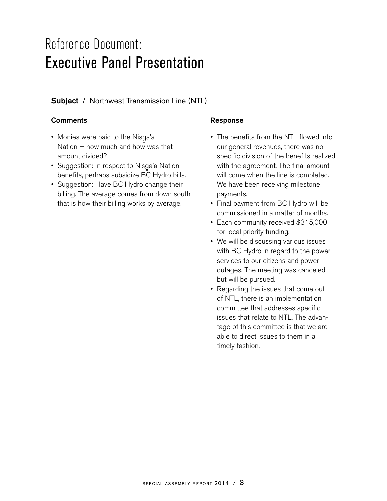# Reference Document: Executive Panel Presentation

## Subject / Northwest Transmission Line (NTL)

## Comments **Comments Response**

- Monies were paid to the Nisga'a<br>National bow mush and bow was Nation  $-$  how much and how was that amount divided?
- Suggestion: In respect to Nisga'a Nation<br>benefits norbons subsidize BC Undre bill benefits, perhaps subsidize BC Hydro bills.
- Suggestion: Have BC Hydro change their billing. The average comes from down south, that is how their billing works by average.

- The benefits from the NTL flowed into our general revenues, there was no specific division of the benefits realized with the agreement. The final amount will come when the line is completed. We have been receiving milestone payments.
- Final payment from BC Hydro will be commissioned in a matter of months.
- Each community received \$315,000 for local priority funding.
- We will be discussing various issues with BC Hydro in regard to the power services to our citizens and power outages. The meeting was canceled but will be pursued.
- Regarding the issues that come out of NTL, there is an implementation committee that addresses specific issues that relate to NTL. The advantage of this committee is that we are able to direct issues to them in a timely fashion.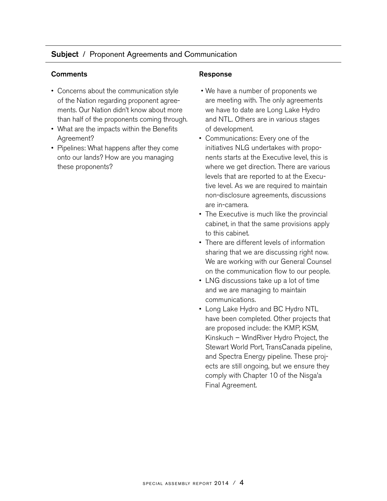## Subject / Proponent Agreements and Communication

#### Comments **Comments** Response

- Concerns about the communication style of the Nation regarding proponent agreements. Our Nation didn't know about more than half of the proponents coming through.
- What are the impacts within the Benefits Agreement?
- Pipelines: What happens after they come onto our lands? How are you managing these proponents?

- We have a number of proponents we are meeting with. The only agreements we have to date are Long Lake Hydro and NTL. Others are in various stages of development.
- Communications: Every one of the initiatives NLG undertakes with proponents starts at the Executive level, this is where we get direction. There are various levels that are reported to at the Executive level. As we are required to maintain non-disclosure agreements, discussions are in-camera.
- The Executive is much like the provincial cabinet, in that the same provisions apply to this cabinet.
- There are different levels of information sharing that we are discussing right now. We are working with our General Counsel on the communication flow to our people.
- LNG discussions take up a lot of time and we are managing to maintain communications.
- Long Lake Hydro and BC Hydro NTL have been completed. Other projects that are proposed include: the KMP, KSM, Kinskuch – WindRiver Hydro Project, the Stewart World Port, TransCanada pipeline, and Spectra Energy pipeline. These projects are still ongoing, but we ensure they comply with Chapter 10 of the Nisga'a<br>Final Agreement Final Agreement.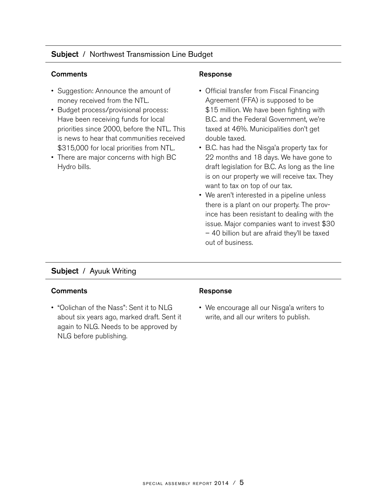## Subject / Northwest Transmission Line Budget

#### Comments **Comments Response**

- Suggestion: Announce the amount of money received from the NTL.
- Budget process/provisional process: Have been receiving funds for local priorities since 2000, before the NTL. This is news to hear that communities received \$315,000 for local priorities from NTL.
- There are major concerns with high BC Hydro bills.

- Official transfer from Fiscal Financing Agreement (FFA) is supposed to be \$15 million. We have been fighting with B.C. and the Federal Government, we're taxed at 46%. Municipalities don't get double taxed.
- B.C. has had the Nisga'a property tax for<br>  $\frac{10}{20}$  menths and  $\frac{10}{2}$  days  $\frac{10}{2}$  have gang to 22 months and 18 days. We have gone to draft legislation for B.C. As long as the line is on our property we will receive tax. They want to tax on top of our tax.
- We aren't interested in a pipeline unless there is a plant on our property. The province has been resistant to dealing with the issue. Major companies want to invest \$30 – 40 billion but are afraid they'll be taxed out of business.

## Subject / Ayuuk Writing

#### **Comments Comments Response**

• "Oolichan of the Nass": Sent it to NLG about six years ago, marked draft. Sent it again to NLG. Needs to be approved by NLG before publishing.

• We encourage all our Nisga'a writers to  $\frac{1}{2}$ write, and all our writers to publish.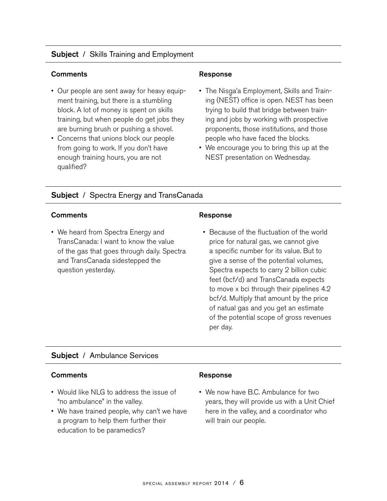## **Subject** / Skills Training and Employment

#### Comments **Comments Response**

- Our people are sent away for heavy equipment training, but there is a stumbling block. A lot of money is spent on skills training, but when people do get jobs they are burning brush or pushing a shovel.
- Concerns that unions block our people from going to work. If you don't have enough training hours, you are not qualified?

- The Nisga'a Employment, Skills and Train-<br>ing (NEST) effice is anon-NEST has been ing (NEST) office is open. NEST has been trying to build that bridge between training and jobs by working with prospective proponents, those institutions, and those people who have faced the blocks.
- We encourage you to bring this up at the NEST presentation on Wednesday.

## **Subject** / Spectra Energy and TransCanada

#### Comments Response

• We heard from Spectra Energy and TransCanada: I want to know the value of the gas that goes through daily. Spectra and TransCanada sidestepped the question yesterday.

 • Because of the fluctuation of the world price for natural gas, we cannot give a specific number for its value. But to give a sense of the potential volumes, Spectra expects to carry 2 billion cubic feet (bcf/d) and TransCanada expects to move x bci through their pipelines 4.2 bcf/d. Multiply that amount by the price of natual gas and you get an estimate of the potential scope of gross revenues per day.

#### Subject / Ambulance Services

#### Comments **Response**

- Would like NLG to address the issue of "no ambulance" in the valley.
- We have trained people, why can't we have a program to help them further their education to be paramedics?

• We now have B.C. Ambulance for two years, they will provide us with a Unit Chief here in the valley, and a coordinator who will train our people.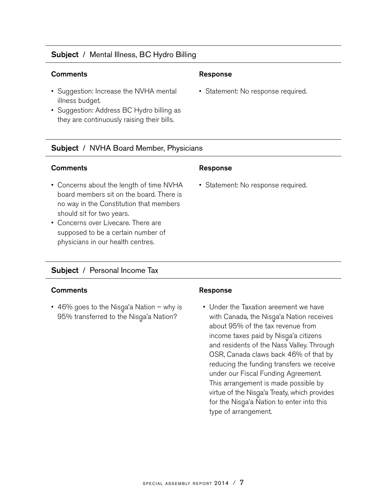## Subject / Mental Illness, BC Hydro Billing

## Comments **Response**

- Suggestion: Increase the NVHA mental illness budget.
- Suggestion: Address BC Hydro billing as they are continuously raising their bills.

## Subject / NVHA Board Member, Physicians

## Comments Response

- Concerns about the length of time NVHA board members sit on the board. There is no way in the Constitution that members should sit for two years.
- Concerns over Livecare. There are supposed to be a certain number of physicians in our health centres.

## Subject / Personal Income Tax

## Comments **Response**

• 46% goes to the Nisga'a Nation – why is<br>OF84 transferred to the Nissa's Nation? 95% transferred to the Nisga'a Nation?<br>-

• Statement: No response required.

• Statement: No response required.

 • Under the Taxation areement we have with Canada, the Nisga'a Nation receives<br>about 05% of the tay rayonus from about 95% of the tax revenue from income taxes paid by Nisga'a citizens<br>and residents of the Ness Valley Three and residents of the Nass Valley. Through OSR, Canada claws back 46% of that by reducing the funding transfers we receive under our Fiscal Funding Agreement. This arrangement is made possible by virtue of the Nisga'a Treaty, which provides<br>far the Nisga's Nation to enter into this for the Nisga'a Nation to enter into this<br>time of excessores type of arrangement.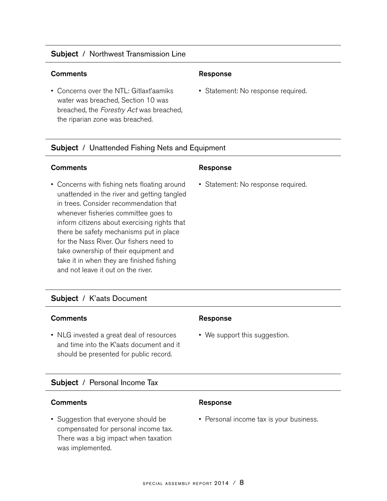## Subject / Northwest Transmission Line

#### **Comments Comments Response**

• Concerns over the NTL: Gitlaxt'aamiks water was breached, Section 10 was breached, the Forestry Act was breached, the riparian zone was breached.

• Statement: No response required.

## **Subject** / Unattended Fishing Nets and Equipment

#### **Comments Comments Response**

• Concerns with fishing nets floating around unattended in the river and getting tangled in trees. Consider recommendation that whenever fisheries committee goes to inform citizens about exercising rights that there be safety mechanisms put in place for the Nass River. Our fishers need to take ownership of their equipment and take it in when they are finished fishing and not leave it out on the river.

## Subject / K'aats Document

#### Comments **Comments** Response

• NLG invested a great deal of resources and time into the K'aats document and it should be presented for public record.

#### Subject / Personal Income Tax

#### Comments Response

• Suggestion that everyone should be compensated for personal income tax. There was a big impact when taxation was implemented.

• Statement: No response required.

• We support this suggestion.

• Personal income tax is your business.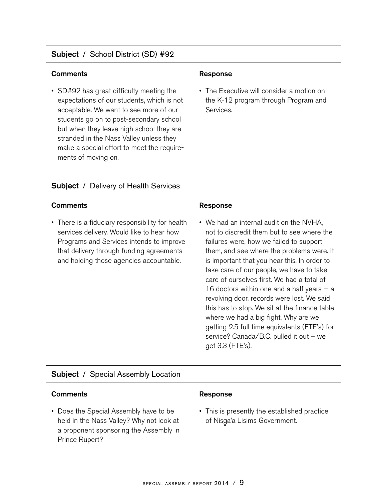## Subject / School District (SD) #92

#### **Comments Comments Response**

• SD#92 has great difficulty meeting the expectations of our students, which is not acceptable. We want to see more of our students go on to post-secondary school but when they leave high school they are stranded in the Nass Valley unless they make a special effort to meet the requirements of moving on.

• The Executive will consider a motion on the K-12 program through Program and Services.

#### Subject / Delivery of Health Services

#### Comments **Comments Response**

• There is a fiduciary responsibility for health services delivery. Would like to hear how Programs and Services intends to improve that delivery through funding agreements and holding those agencies accountable.

• We had an internal audit on the NVHA, not to discredit them but to see where the failures were, how we failed to support them, and see where the problems were. It is important that you hear this. In order to take care of our people, we have to take care of ourselves first. We had a total of 16 doctors within one and a half years  $-$  a revolving door, records were lost. We said this has to stop. We sit at the finance table where we had a big fight. Why are we getting 2.5 full time equivalents (FTE's) for service? Canada/B.C. pulled it out – we get 3.3 (FTE's).

#### Subject / Special Assembly Location

#### Comments **Response**

• Does the Special Assembly have to be held in the Nass Valley? Why not look at a proponent sponsoring the Assembly in Prince Rupert?

• This is presently the established practice of Nisga'a Lisims Government.<br>'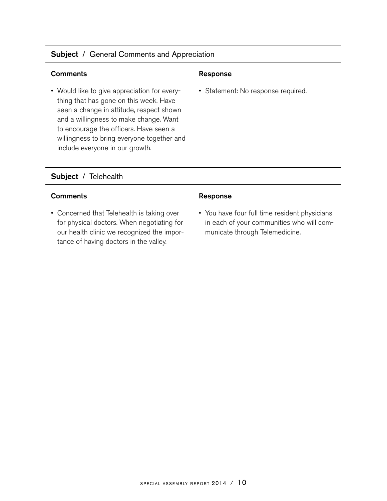## Subject / General Comments and Appreciation

#### Comments Response

• Would like to give appreciation for everything that has gone on this week. Have seen a change in attitude, respect shown and a willingness to make change. Want to encourage the officers. Have seen a willingness to bring everyone together and include everyone in our growth.

• Statement: No response required.

## Subject / Telehealth

## Comments **Response**

• Concerned that Telehealth is taking over for physical doctors. When negotiating for our health clinic we recognized the importance of having doctors in the valley.

• You have four full time resident physicians in each of your communities who will communicate through Telemedicine.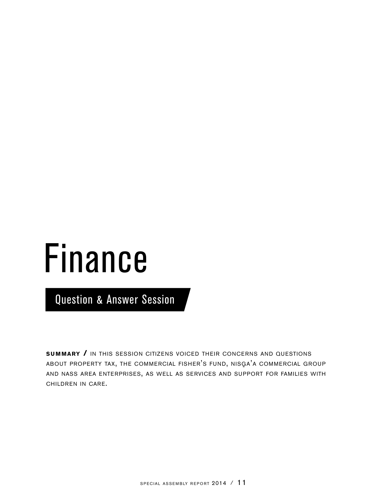# Finance

Question & Answer Session

**SUMMARY / IN THIS SESSION CITIZENS VOICED THEIR CONCERNS AND QUESTIONS** ABOUT PROPERTY TAX, THE COMMERCIAL FISHER'S FUND, NISGA'A COMMERCIAL GROUP and nass area enterprises, as well as services and support for families with children in care.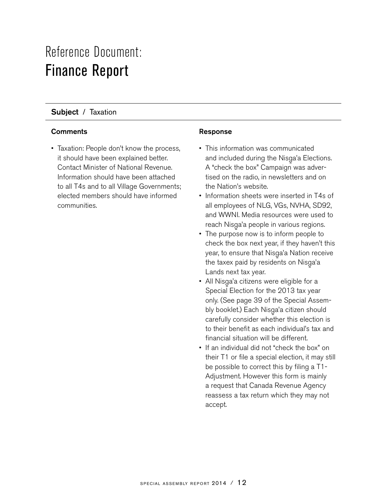# Reference Document: Finance Report

## Subject / Taxation

## Comments **Comments Response**

• Taxation: People don't know the process, it should have been explained better. Contact Minister of National Revenue. Information should have been attached to all T4s and to all Village Governments; elected members should have informed communities.

- This information was communicated and included during the Nisga'a Elections.<br>A "shaak the how" Compaign was advar. A "check the box" Campaign was advertised on the radio, in newsletters and on the Nation's website.
- Information sheets were inserted in T4s of all employees of NLG, VGs, NVHA, SD92, and WWNI. Media resources were used to reach Nisga'a people in various regions.<br>The nursees now is to inferm neaple to
- The purpose now is to inform people to check the box next year, if they haven't this year, to ensure that Nisga'a Nation receive<br>the taxax naid by residents an Nisga's the taxex paid by residents on Nisga'a<br>Landa navt tax vear Lands next tax year.
- All Nisga'a citizens were eligible for a<br>Special Flastian for the 2012 tax vear Special Election for the 2013 tax year only. (See page 39 of the Special Assembly booklet.) Each Nisga'a citizen should<br>aarafully sansider whather this algetian is carefully consider whether this election is to their benefit as each individual's tax and financial situation will be different.
- If an individual did not "check the box" on their T1 or file a special election, it may still be possible to correct this by filing a T1- Adjustment. However this form is mainly a request that Canada Revenue Agency reassess a tax return which they may not accept.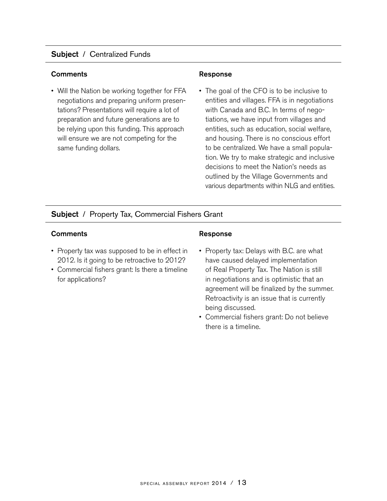## Subject / Centralized Funds

#### Comments **Comments Response**

• Will the Nation be working together for FFA negotiations and preparing uniform presentations? Presentations will require a lot of preparation and future generations are to be relying upon this funding. This approach will ensure we are not competing for the same funding dollars.

• The goal of the CFO is to be inclusive to entities and villages. FFA is in negotiations with Canada and B.C. In terms of negotiations, we have input from villages and entities, such as education, social welfare, and housing. There is no conscious effort to be centralized. We have a small population. We try to make strategic and inclusive decisions to meet the Nation's needs as outlined by the Village Governments and various departments within NLG and entities.

## Subject / Property Tax, Commercial Fishers Grant

#### Comments **Comments** Response

- Property tax was supposed to be in effect in 2012. Is it going to be retroactive to 2012?
- Commercial fishers grant: Is there a timeline for applications?

- Property tax: Delays with B.C. are what have caused delayed implementation of Real Property Tax. The Nation is still in negotiations and is optimistic that an agreement will be finalized by the summer. Retroactivity is an issue that is currently being discussed.
- Commercial fishers grant: Do not believe there is a timeline.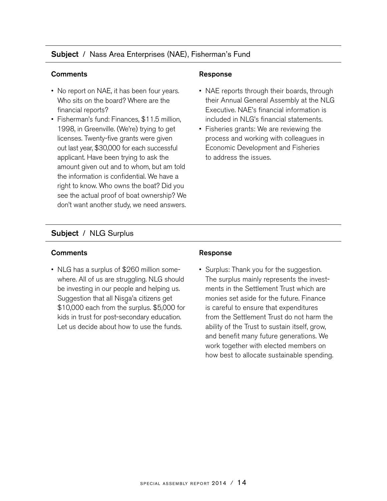## Subject / Nass Area Enterprises (NAE), Fisherman's Fund

#### Comments **Comments** Response

- No report on NAE, it has been four years. Who sits on the board? Where are the financial reports?
- Fisherman's fund: Finances, \$11.5 million, 1998, in Greenville. (We're) trying to get licenses. Twenty-five grants were given out last year, \$30,000 for each successful applicant. Have been trying to ask the amount given out and to whom, but am told the information is confidential. We have a right to know. Who owns the boat? Did you see the actual proof of boat ownership? We don't want another study, we need answers.

- NAE reports through their boards, through their Annual General Assembly at the NLG Executive. NAE's financial information is included in NLG's financial statements.
- Fisheries grants: We are reviewing the process and working with colleagues in Economic Development and Fisheries to address the issues.

## Subject / NLG Surplus

#### Comments Response

• NLG has a surplus of \$260 million somewhere. All of us are struggling. NLG should be investing in our people and helping us. Suggestion that all Nisga'a citizens get<br>\$10,000 sash from the auralus \$5,000 \$10,000 each from the surplus. \$5,000 for kids in trust for post-secondary education. Let us decide about how to use the funds.

• Surplus: Thank you for the suggestion. The surplus mainly represents the investments in the Settlement Trust which are monies set aside for the future. Finance is careful to ensure that expenditures from the Settlement Trust do not harm the ability of the Trust to sustain itself, grow, and benefit many future generations. We work together with elected members on how best to allocate sustainable spending.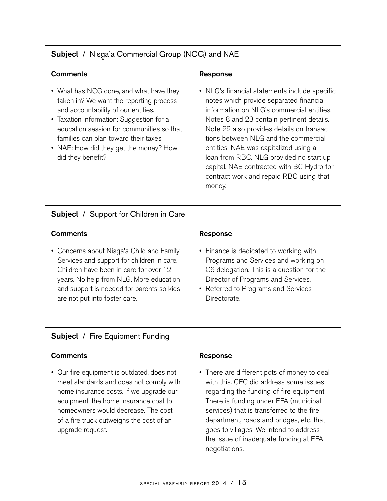## **Subject** / Nisga'a Commercial Group (NCG) and NAE

#### **Comments Comments Response**

- What has NCG done, and what have they taken in? We want the reporting process and accountability of our entities.
- Taxation information: Suggestion for a education session for communities so that families can plan toward their taxes.
- NAE: How did they get the money? How did they benefit?

• NLG's financial statements include specific notes which provide separated financial information on NLG's commercial entities. Notes 8 and 23 contain pertinent details. Note 22 also provides details on transactions between NLG and the commercial entities. NAE was capitalized using a loan from RBC. NLG provided no start up capital. NAE contracted with BC Hydro for contract work and repaid RBC using that money.

## **Subject** / Support for Children in Care

#### **Comments Comments Response**

• Concerns about Nisga'a Child and Family<br>Sensiese and support for shildren in eare Services and support for children in care. Children have been in care for over 12 years. No help from NLG. More education and support is needed for parents so kids are not put into foster care.

- Finance is dedicated to working with Programs and Services and working on C6 delegation. This is a question for the Director of Programs and Services.
- Referred to Programs and Services Directorate.

## Subject / Fire Equipment Funding

#### **Comments Response**

• Our fire equipment is outdated, does not meet standards and does not comply with home insurance costs. If we upgrade our equipment, the home insurance cost to homeowners would decrease. The cost of a fire truck outweighs the cost of an upgrade request.

• There are different pots of money to deal with this. CFC did address some issues regarding the funding of fire equipment. There is funding under FFA (municipal services) that is transferred to the fire department, roads and bridges, etc. that goes to villages. We intend to address the issue of inadequate funding at FFA negotiations.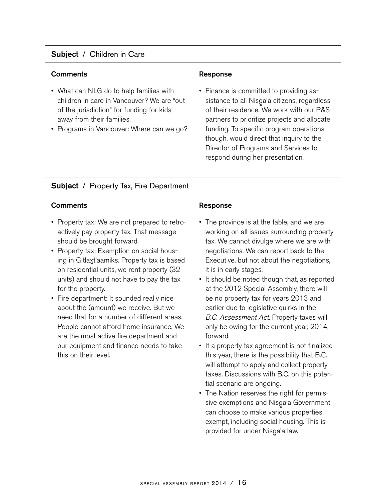## Subject / Children in Care

#### **Comments Comments Response**

- What can NLG do to help families with children in care in Vancouver? We are "out of the jurisdiction" for funding for kids away from their families.
- Programs in Vancouver: Where can we go?

• Finance is committed to providing assistance to all Nisga'a citizens, regardless<br>at their residence We westwith our P.C. of their residence. We work with our P&S partners to prioritize projects and allocate funding. To specific program operations though, would direct that inquiry to the Director of Programs and Services to respond during her presentation.

## Subject / Property Tax, Fire Department

#### **Comments Comments Response**

- Property tax: We are not prepared to retroactively pay property tax. That message should be brought forward.
- Property tax: Exemption on social housing in Gitlax-t'aamiks. Property tax is based on residential units, we rent property (32 units) and should not have to pay the tax for the property.
- Fire department: It sounded really nice about the (amount) we receive. But we need that for a number of different areas. People cannot afford home insurance. We are the most active fire department and our equipment and finance needs to take this on their level.

- The province is at the table, and we are working on all issues surrounding property tax. We cannot divulge where we are with negotiations. We can report back to the Executive, but not about the negotiations, it is in early stages.
- It should be noted though that, as reported at the 2012 Special Assembly, there will be no property tax for years 2013 and earlier due to legislative quirks in the B.C. Assessment Act. Property taxes will only be owing for the current year, 2014, forward.
- If a property tax agreement is not finalized this year, there is the possibility that B.C. will attempt to apply and collect property taxes. Discussions with B.C. on this potential scenario are ongoing.
- The Nation reserves the right for permissive exemptions and Nisga'a Government<br>aan abaase te melse verieus preparties can choose to make various properties exempt, including social housing. This is provided for under Nisga'a law.<br>'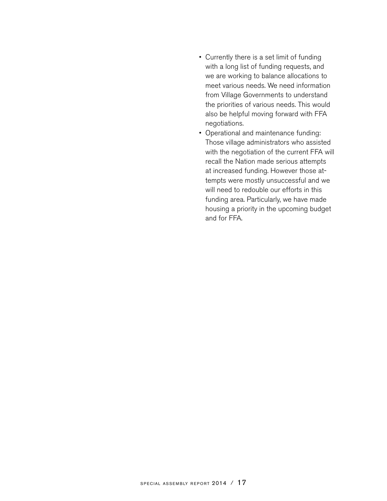- Currently there is a set limit of funding with a long list of funding requests, and we are working to balance allocations to meet various needs. We need information from Village Governments to understand the priorities of various needs. This would also be helpful moving forward with FFA negotiations.
- Operational and maintenance funding: Those village administrators who assisted with the negotiation of the current FFA will recall the Nation made serious attempts at increased funding. However those attempts were mostly unsuccessful and we will need to redouble our efforts in this funding area. Particularly, we have made housing a priority in the upcoming budget and for FFA.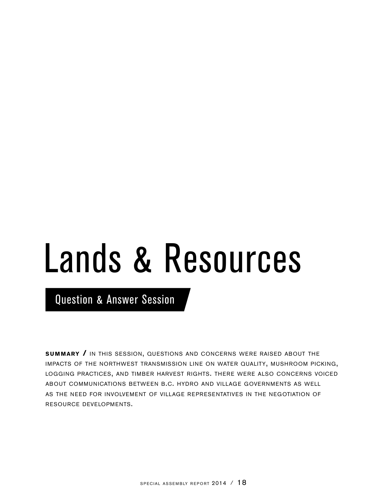# Lands & Resources

Question & Answer Session

**SUMMARY / IN THIS SESSION, QUESTIONS AND CONCERNS WERE RAISED ABOUT THE** impacts of the northwest transmission line on water quality, mushroom picking, logging practices, and timber harvest rights. there were also concerns voiced about communications between b.c. hydro and village governments as well as the need for involvement of village representatives in the negotiation of resource developments.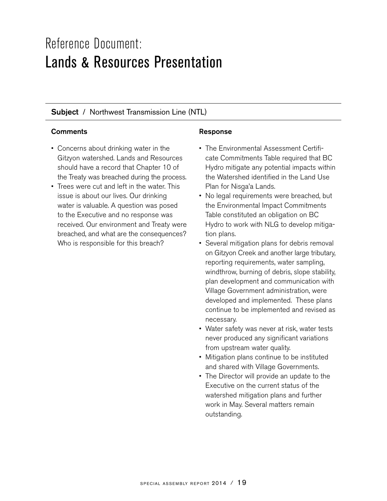## Reference Document: Lands & Resources Presentation

## **Subject** / Northwest Transmission Line (NTL)

#### Comments **Comments Response**

- Concerns about drinking water in the Gitzyon watershed. Lands and Resources should have a record that Chapter 10 of the Treaty was breached during the process.
- Trees were cut and left in the water. This issue is about our lives. Our drinking water is valuable. A question was posed to the Executive and no response was received. Our environment and Treaty were breached, and what are the consequences? Who is responsible for this breach?

- The Environmental Assessment Certificate Commitments Table required that BC Hydro mitigate any potential impacts within the Watershed identified in the Land Use Plan for Nisga'a Lands.<br>Na lagal requirements u
- No legal requirements were breached, but the Environmental Impact Commitments Table constituted an obligation on BC Hydro to work with NLG to develop mitigation plans.
- Several mitigation plans for debris removal on Gitzyon Creek and another large tributary, reporting requirements, water sampling, windthrow, burning of debris, slope stability, plan development and communication with Village Government administration, were developed and implemented. These plans continue to be implemented and revised as necessary.
- Water safety was never at risk, water tests never produced any significant variations from upstream water quality.
- Mitigation plans continue to be instituted and shared with Village Governments.
- The Director will provide an update to the Executive on the current status of the watershed mitigation plans and further work in May. Several matters remain outstanding.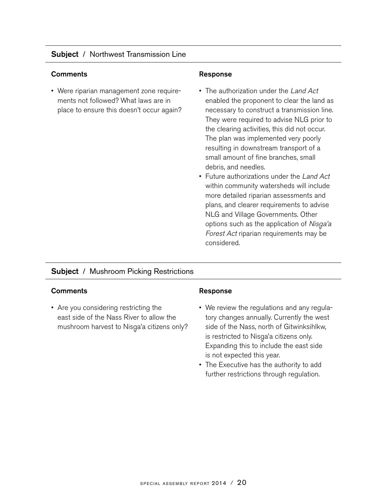## Subject / Northwest Transmission Line

#### Comments **Response**

• Were riparian management zone requirements not followed? What laws are in place to ensure this doesn't occur again?

- The authorization under the Land Act enabled the proponent to clear the land as necessary to construct a transmission line. They were required to advise NLG prior to the clearing activities, this did not occur. The plan was implemented very poorly resulting in downstream transport of a small amount of fine branches, small debris, and needles.
- Future authorizations under the Land Act within community watersheds will include more detailed riparian assessments and plans, and clearer requirements to advise NLG and Village Governments. Other options such as the application of *Nisga'a* Forest Act riparian requirements may be considered.

## Subject / Mushroom Picking Restrictions

#### Comments **Comments Response**

• Are you considering restricting the east side of the Nass River to allow the mushroom harvest to Nisga'a citizens only?<br>.

- We review the regulations and any regulatory changes annually. Currently the west side of the Nass, north of Gitwinksihlkw, is restricted to Nisga'a citizens only.<br>Expending this to include the cost of Expanding this to include the east side is not expected this year.
- The Executive has the authority to add further restrictions through regulation.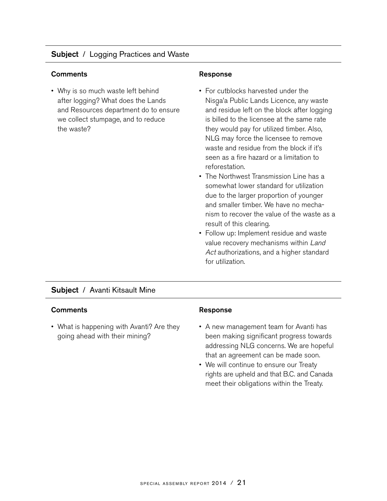## **Subject** / Logging Practices and Waste

#### Comments **Comments Response**

• Why is so much waste left behind after logging? What does the Lands and Resources department do to ensure we collect stumpage, and to reduce the waste?

- For cutblocks harvested under the Nisga'a Public Lands Licence, any waste<br>and residue latt an the black ofter legating and residue left on the block after logging is billed to the licensee at the same rate they would pay for utilized timber. Also, NLG may force the licensee to remove waste and residue from the block if it's seen as a fire hazard or a limitation to reforestation.
- The Northwest Transmission Line has a somewhat lower standard for utilization due to the larger proportion of younger and smaller timber. We have no mechanism to recover the value of the waste as a result of this clearing.
- Follow up: Implement residue and waste value recovery mechanisms within Land Act authorizations, and a higher standard for utilization.

#### Subject / Avanti Kitsault Mine

#### Comments **Response**

• What is happening with Avanti? Are they going ahead with their mining?

- A new management team for Avanti has been making significant progress towards addressing NLG concerns. We are hopeful that an agreement can be made soon.
- We will continue to ensure our Treaty rights are upheld and that B.C. and Canada meet their obligations within the Treaty.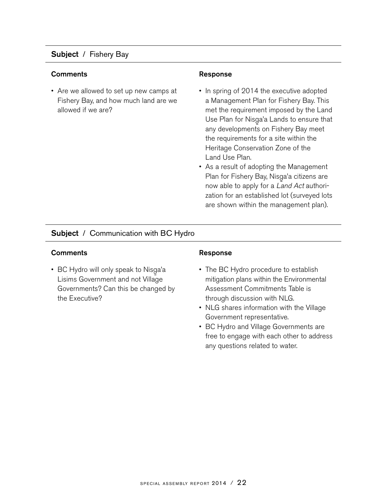## Subject / Fishery Bay

#### **Comments Comments Response**

• Are we allowed to set up new camps at Fishery Bay, and how much land are we allowed if we are?

- In spring of 2014 the executive adopted a Management Plan for Fishery Bay. This met the requirement imposed by the Land Use Plan for Nisga'a Lands to ensure that<br>any developments on Fishery Revineed any developments on Fishery Bay meet the requirements for a site within the Heritage Conservation Zone of the Land Use Plan.
- As a result of adopting the Management Plan for Fishery Bay, Nisga'a citizens are<br>navy able to enaly fano Land Actouthori now able to apply for a Land Act authorization for an established lot (surveyed lots are shown within the management plan).

## **Subject** / Communication with BC Hydro

#### Comments **Response**

• BC Hydro will only speak to Nisga'a<br>Lisima Covernment and not Village Lisims Government and not Village Governments? Can this be changed by the Executive?

- The BC Hydro procedure to establish mitigation plans within the Environmental Assessment Commitments Table is through discussion with NLG.
- NLG shares information with the Village Government representative.
- BC Hydro and Village Governments are free to engage with each other to address any questions related to water.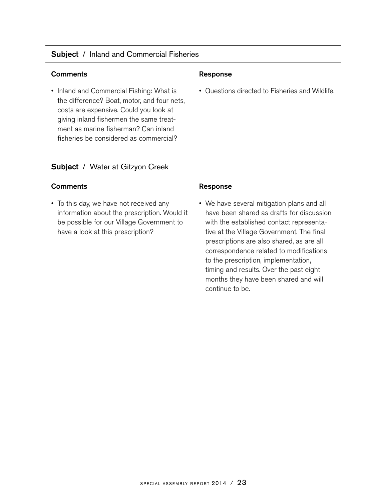## Subject / Inland and Commercial Fisheries

#### Comments Response

• Inland and Commercial Fishing: What is the difference? Boat, motor, and four nets, costs are expensive. Could you look at giving inland fishermen the same treatment as marine fisherman? Can inland fisheries be considered as commercial?

• Questions directed to Fisheries and Wildlife.

## Subject / Water at Gitzyon Creek

#### Comments **Comments Response**

• To this day, we have not received any information about the prescription. Would it be possible for our Village Government to have a look at this prescription?

• We have several mitigation plans and all have been shared as drafts for discussion with the established contact representative at the Village Government. The final prescriptions are also shared, as are all correspondence related to modifications to the prescription, implementation, timing and results. Over the past eight months they have been shared and will continue to be.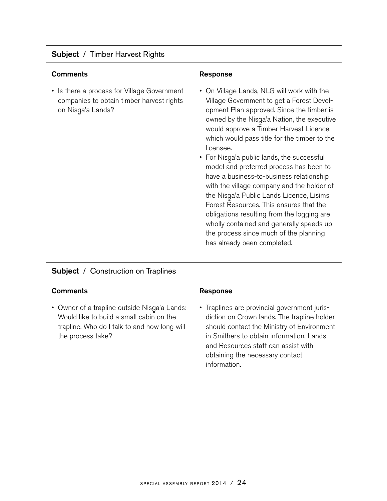## Subject / Timber Harvest Rights

#### Comments **Comments Response**

• Is there a process for Village Government companies to obtain timber harvest rights on Nisga'a Lands?

- On Village Lands, NLG will work with the Village Government to get a Forest Development Plan approved. Since the timber is owned by the Nisga'a Nation, the executive<br>weuld expresse a Timber Harvest Lisenes would approve a Timber Harvest Licence, which would pass title for the timber to the licensee.
- For Nisga'a public lands, the successful<br>meadel and arcferred arcesses has been t model and preferred process has been to have a business-to-business relationship with the village company and the holder of the Nisga'a Public Lands Licence, Lisims<br>Faxat Recourses, This ansures that the Forest Resources. This ensures that the obligations resulting from the logging are wholly contained and generally speeds up the process since much of the planning has already been completed.

## Subject / Construction on Traplines

#### Comments **Comments Response**

• Owner of a trapline outside Nisga'a Lands:<br>Would like to build a small sobin an the Would like to build a small cabin on the trapline. Who do I talk to and how long will the process take?

• Traplines are provincial government jurisdiction on Crown lands. The trapline holder should contact the Ministry of Environment in Smithers to obtain information. Lands and Resources staff can assist with obtaining the necessary contact information.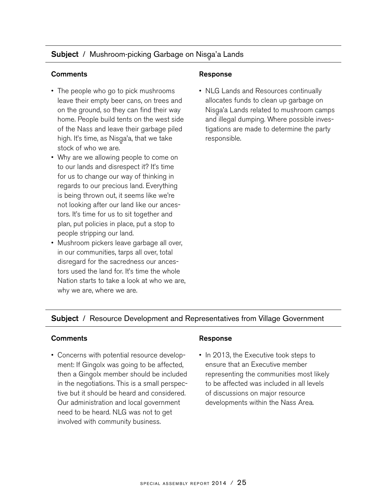## Subject / Mushroom-picking Garbage on Nisga'a Lands

#### Comments Response

- The people who go to pick mushrooms leave their empty beer cans, on trees and on the ground, so they can find their way home. People build tents on the west side of the Nass and leave their garbage piled high. It's time, as Nisga'a, that we take stock of who we are.
- Why are we allowing people to come on to our lands and disrespect it? It's time for us to change our way of thinking in regards to our precious land. Everything is being thrown out, it seems like we're not looking after our land like our ancestors. It's time for us to sit together and plan, put policies in place, put a stop to people stripping our land.
- Mushroom pickers leave garbage all over, in our communities, tarps all over, total disregard for the sacredness our ancestors used the land for. It's time the whole Nation starts to take a look at who we are, why we are, where we are.

• NLG Lands and Resources continually allocates funds to clean up garbage on Nisga'a Lands related to mushroom camps<br>and illagel dumning Where neesible inves and illegal dumping. Where possible investigations are made to determine the party responsible.

## **Subject** / Resource Development and Representatives from Village Government

#### Comments **Comments** Response

• Concerns with potential resource development: If Gingolx was going to be affected,<br>then a Cingaly mamber should be included then a Gingolx member should be included<br>in the negatiations. This is a small necessa in the negotiations. This is a small perspective but it should be heard and considered. Our administration and local government need to be heard. NLG was not to get involved with community business.

• In 2013, the Executive took steps to ensure that an Executive member representing the communities most likely to be affected was included in all levels of discussions on major resource developments within the Nass Area.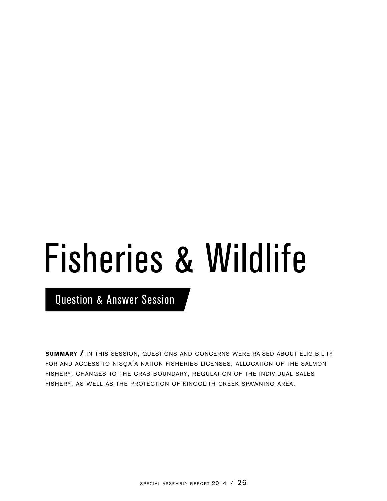# Fisheries & Wildlife

Question & Answer Session

**SUMMARY / IN THIS SESSION, QUESTIONS AND CONCERNS WERE RAISED ABOUT ELIGIBILITY** FOR AND ACCESS TO NISGA'A NATION FISHERIES LICENSES, ALLOCATION OF THE SALMON fishery, changes to the crab boundary, regulation of the individual sales fishery, as well as the protection of kincolith creek spawning area.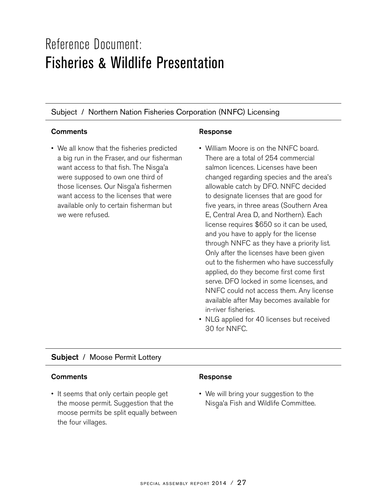# Reference Document: Fisheries & Wildlife Presentation

Subject / Northern Nation Fisheries Corporation (NNFC) Licensing

## Comments **Comments Response**

• We all know that the fisheries predicted a big run in the Fraser, and our fisherman want access to that fish. The Nisga'a<br>ware supposed to sup and third of were supposed to own one third of those licenses. Our Nisga'a fishermen<br>went access to the licenses that were want access to the licenses that were available only to certain fisherman but we were refused.

- William Moore is on the NNFC board. There are a total of 254 commercial salmon licences. Licenses have been changed regarding species and the area's allowable catch by DFO. NNFC decided to designate licenses that are good for five years, in three areas (Southern Area E, Central Area D, and Northern). Each license requires \$650 so it can be used, and you have to apply for the license through NNFC as they have a priority list. Only after the licenses have been given out to the fishermen who have successfully applied, do they become first come first serve. DFO locked in some licenses, and NNFC could not access them. Any license available after May becomes available for in-river fisheries.
- NLG applied for 40 licenses but received 30 for NNFC.

## Subject / Moose Permit Lottery

#### Comments **Comments** Response

• It seems that only certain people get the moose permit. Suggestion that the moose permits be split equally between the four villages.

• We will bring your suggestion to the Nisga'a Fish and Wildlife Committee.<br>'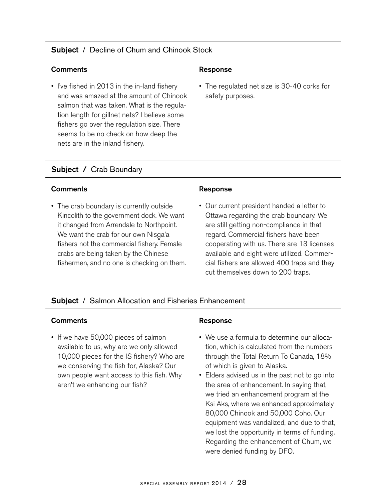## **Subject** / Decline of Chum and Chinook Stock

#### Comments **Response**

• I've fished in 2013 in the in-land fishery and was amazed at the amount of Chinook salmon that was taken. What is the regulation length for gillnet nets? I believe some fishers go over the regulation size. There seems to be no check on how deep the nets are in the inland fishery.

• The regulated net size is 30-40 corks for safety purposes.

## Subject / Crab Boundary

#### Comments **Response**

• The crab boundary is currently outside Kincolith to the government dock. We want it changed from Arrendale to Northpoint. We want the crab for our own Nisga'a<br>fishers not the commercial fishers Form fishers not the commercial fishery. Female crabs are being taken by the Chinese fishermen, and no one is checking on them.

• Our current president handed a letter to Ottawa regarding the crab boundary. We are still getting non-compliance in that regard. Commercial fishers have been cooperating with us. There are 13 licenses available and eight were utilized. Commercial fishers are allowed 400 traps and they cut themselves down to 200 traps.

## Subject / Salmon Allocation and Fisheries Enhancement

#### Comments **Response**

• If we have 50,000 pieces of salmon available to us, why are we only allowed 10,000 pieces for the IS fishery? Who are we conserving the fish for, Alaska? Our own people want access to this fish. Why aren't we enhancing our fish?

- We use a formula to determine our allocation, which is calculated from the numbers through the Total Return To Canada, 18% of which is given to Alaska.
- Elders advised us in the past not to go into the area of enhancement. In saying that, we tried an enhancement program at the Ksi Aks, where we enhanced approximately 80,000 Chinook and 50,000 Coho. Our equipment was vandalized, and due to that, we lost the opportunity in terms of funding. Regarding the enhancement of Chum, we were denied funding by DFO.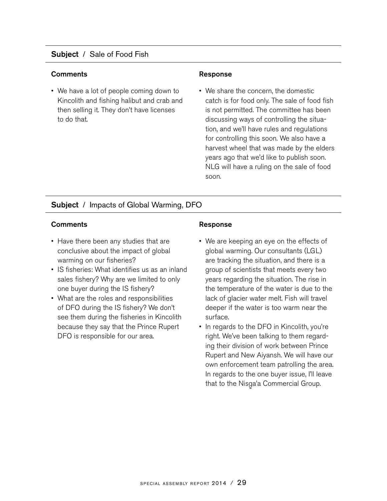## Subject / Sale of Food Fish

#### **Comments Comments Response**

• We have a lot of people coming down to Kincolith and fishing halibut and crab and then selling it. They don't have licenses to do that.

• We share the concern, the domestic catch is for food only. The sale of food fish is not permitted. The committee has been discussing ways of controlling the situation, and we'll have rules and regulations for controlling this soon. We also have a harvest wheel that was made by the elders years ago that we'd like to publish soon. NLG will have a ruling on the sale of food soon.

## Subject / Impacts of Global Warming, DFO

#### Comments **Comments Response**

- Have there been any studies that are conclusive about the impact of global warming on our fisheries?
- IS fisheries: What identifies us as an inland sales fishery? Why are we limited to only one buyer during the IS fishery?
- What are the roles and responsibilities of DFO during the IS fishery? We don't see them during the fisheries in Kincolith because they say that the Prince Rupert DFO is responsible for our area.

- We are keeping an eye on the effects of global warming. Our consultants (LGL) are tracking the situation, and there is a group of scientists that meets every two years regarding the situation. The rise in the temperature of the water is due to the lack of glacier water melt. Fish will travel deeper if the water is too warm near the surface.
- In regards to the DFO in Kincolith, you're right. We've been talking to them regarding their division of work between Prince Rupert and New Aiyansh. We will have our own enforcement team patrolling the area. In regards to the one buyer issue, I'll leave that to the Nisga'a Commercial Group.<br>.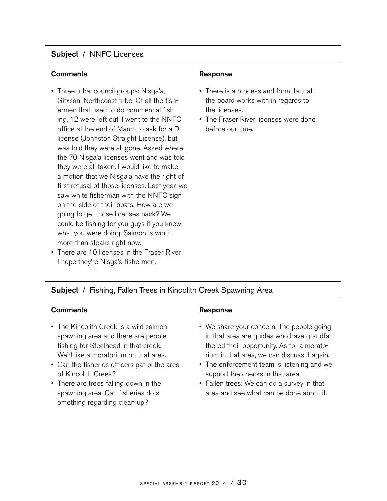## Subject / NNFC Licenses

#### **Comments Comments Response**

- Three tribal council groups: Nisga'a,<br>Citysen Natthaceat tribe Of all the d Gitxsan, Northcoast tribe. Of all the fishermen that used to do commercial fishing, 12 were left out. I went to the NNFC office at the end of March to ask for a D license (Johnston Straight License), but was told they were all gone. Asked where the 70 Nisga'a licenses went and was told<br>the wests all taken busyld like to make they were all taken. I would like to make a motion that we Nisga'a have the right of<br>first refused of these liesnessed ast wear we first refusal of those licenses. Last year, we saw white fisherman with the NNFC sign on the side of their boats. How are we going to get those licenses back? We could be fishing for you guys if you knew what you were doing. Salmon is worth more than steaks right now.
- There are 10 licenses in the Fraser River, I hope they're Nisga'a fishermen.<br>'

- There is a process and formula that the board works with in regards to the licenses.
- The Fraser River licenses were done before our time.

## Subject / Fishing, Fallen Trees in Kincolith Creek Spawning Area

## Comments **Response**

- The Kincolith Creek is a wild salmon spawning area and there are people fishing for Steelhead in that creek. We'd like a moratorium on that area.
- Can the fisheries officers patrol the area of Kincolith Creek?
- There are trees falling down in the spawning area. Can fisheries do s omething regarding clean up?

- We share your concern. The people going in that area are guides who have grandfathered their opportunity. As for a moratorium in that area, we can discuss it again.
- The enforcement team is listening and we support the checks in that area.
- Fallen trees: We can do a survey in that area and see what can be done about it.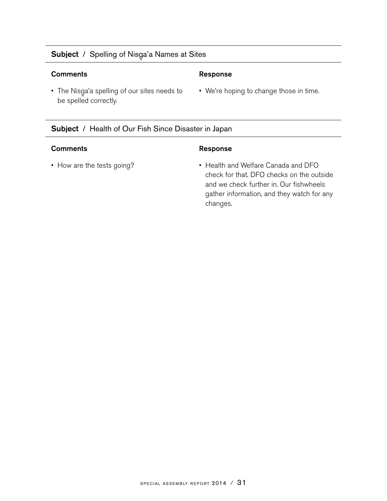## **Subject** / Spelling of Nisga'a Names at Sites

#### Comments Response

• The Nisga'a spelling of our sites needs to<br>his analized acrossible be spelled correctly.

#### Subject / Health of Our Fish Since Disaster in Japan

#### Comments **Response**

• We're hoping to change those in time.

• How are the tests going? • • Health and Welfare Canada and DFO check for that. DFO checks on the outside and we check further in. Our fishwheels gather information, and they watch for any changes.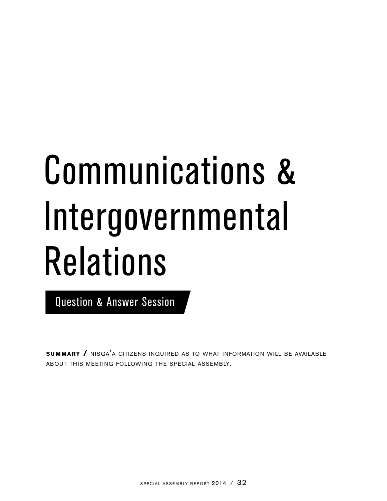# Communications & Intergovernmental Relations

Question & Answer Session

**SUMMARY /** NISGA'A CITIZENS INQUIRED AS TO WHAT INFORMATION WILL BE AVAILABLE about this meeting following the special assembly.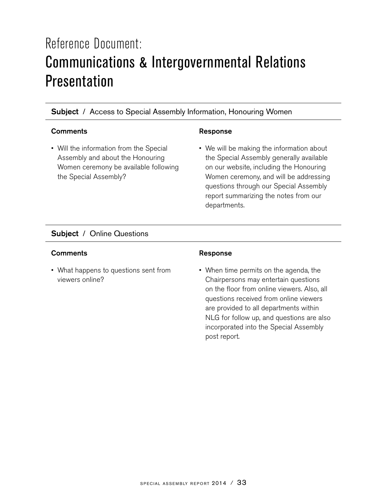# Reference Document: Communications & Intergovernmental Relations Presentation

## Subject / Access to Special Assembly Information, Honouring Women

## Comments **Response**

• Will the information from the Special Assembly and about the Honouring Women ceremony be available following the Special Assembly?

• We will be making the information about the Special Assembly generally available on our website, including the Honouring Women ceremony, and will be addressing questions through our Special Assembly report summarizing the notes from our departments.

## Subject / Online Questions

#### Comments **Response**

• What happens to questions sent from viewers online?

• When time permits on the agenda, the Chairpersons may entertain questions on the floor from online viewers. Also, all questions received from online viewers are provided to all departments within NLG for follow up, and questions are also incorporated into the Special Assembly post report.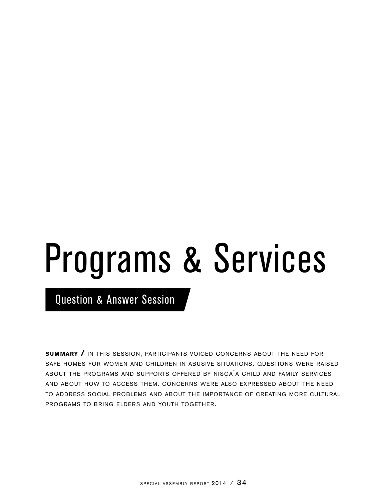# Programs & Services

Question & Answer Session

**summary /** in this session, participants voiced concerns about the need for safe homes for women and children in abusive situations. questions were raised ABOUT THE PROGRAMS AND SUPPORTS OFFERED BY NISGA'A CHILD AND FAMILY SERVICES and about how to access them. concerns were also expressed about the need to address social problems and about the importance of creating more cultural programs to bring elders and youth together.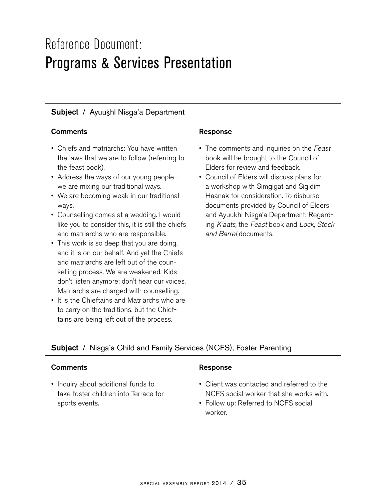## Reference Document: Programs & Services Presentation

## **Subject** / Ayuukhl Nisga'a Department

## Comments **Response**

- Chiefs and matriarchs: You have written the laws that we are to follow (referring to the feast book).
- Address the ways of our young people we are mixing our traditional ways.
- We are becoming weak in our traditional ways.
- Counselling comes at a wedding. I would like you to consider this, it is still the chiefs and matriarchs who are responsible.
- This work is so deep that you are doing, and it is on our behalf. And yet the Chiefs and matriarchs are left out of the counselling process. We are weakened. Kids don't listen anymore; don't hear our voices. Matriarchs are charged with counselling.
- It is the Chieftains and Matriarchs who are to carry on the traditions, but the Chieftains are being left out of the process.

- The comments and inquiries on the Feast book will be brought to the Council of Elders for review and feedback.
- Council of Elders will discuss plans for a workshop with Simgigat and Sigidim Haanak for consideration. To disburse documents provided by Council of Elders and Ayuukhl Nisga'a Department: Regard-<br>ing Klasta the Easethaak and Lask Staal ing K'aats, the Feast book and Lock, Stock and Barrel documents.

## Subject / Nisga'a Child and Family Services (NCFS), Foster Parenting

## Comments **Comments Response**

• Inquiry about additional funds to take foster children into Terrace for sports events.

- Client was contacted and referred to the NCFS social worker that she works with.
- Follow up: Referred to NCFS social worker.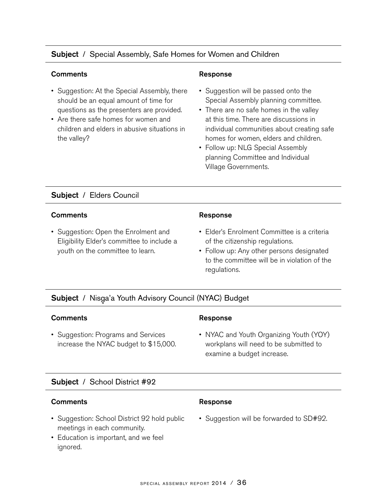## Subject / Special Assembly, Safe Homes for Women and Children

## Comments **Comments** Response

- Suggestion: At the Special Assembly, there should be an equal amount of time for questions as the presenters are provided.
- Are there safe homes for women and children and elders in abusive situations in the valley?

- Suggestion will be passed onto the Special Assembly planning committee.
- There are no safe homes in the valley at this time. There are discussions in individual communities about creating safe homes for women, elders and children.
- Follow up: NLG Special Assembly planning Committee and Individual Village Governments.

## Subject / Elders Council

### Comments **Response**

• Suggestion: Open the Enrolment and Eligibility Elder's committee to include a youth on the committee to learn.

- Elder's Enrolment Committee is a criteria of the citizenship regulations.
- Follow up: Any other persons designated to the committee will be in violation of the regulations.

## **Subject** / Nisga'a Youth Advisory Council (NYAC) Budget

### Comments **Comments Response**

• Suggestion: Programs and Services increase the NYAC budget to \$15,000.

• NYAC and Youth Organizing Youth (YOY) workplans will need to be submitted to examine a budget increase.

## Subject / School District #92

### Comments **Response**

- Suggestion: School District 92 hold public meetings in each community.
- Education is important, and we feel ignored.

• Suggestion will be forwarded to SD#92.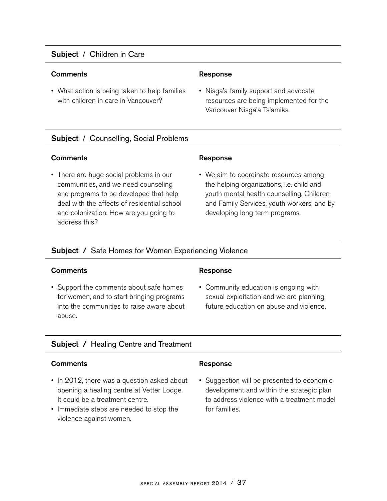## Subject / Children in Care

## **Comments Comments Response**

• What action is being taken to help families with children in care in Vancouver?

• Nisga'a family support and advocate<br>recourses are holing implemented for resources are being implemented for the Vancouver Nisga'a Ts'amiks.<br>'

## **Subject** / Counselling, Social Problems

### **Comments Comments Response**

• There are huge social problems in our communities, and we need counseling and programs to be developed that help deal with the affects of residential school and colonization. How are you going to address this?

• We aim to coordinate resources among the helping organizations, i.e. child and youth mental health counselling, Children and Family Services, youth workers, and by developing long term programs.

## Subject / Safe Homes for Women Experiencing Violence

### Comments **Response**

• Support the comments about safe homes for women, and to start bringing programs into the communities to raise aware about abuse.

• Community education is ongoing with sexual exploitation and we are planning future education on abuse and violence.

## Subject / Healing Centre and Treatment

## Comments **Comments** Response

- In 2012, there was a question asked about opening a healing centre at Vetter Lodge. It could be a treatment centre.
- Immediate steps are needed to stop the violence against women.

• Suggestion will be presented to economic development and within the strategic plan to address violence with a treatment model for families.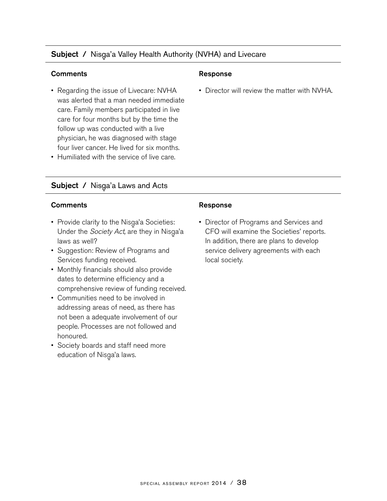## Subject / Nisga'a Valley Health Authority (NVHA) and Livecare

### Comments **Response**

- Regarding the issue of Livecare: NVHA was alerted that a man needed immediate care. Family members participated in live care for four months but by the time the follow up was conducted with a live physician, he was diagnosed with stage four liver cancer. He lived for six months.
- Humiliated with the service of live care.

## Subject / Nisga'a Laws and Acts

### Comments Response

- Provide clarity to the Nisga'a Societies:<br>Llader the Society Act are thou in Niega Under the *Society Act,* are they in Nisga'a<br>Iaus as wall? laws as well?
- Suggestion: Review of Programs and Services funding received.
- Monthly financials should also provide dates to determine efficiency and a comprehensive review of funding received.
- Communities need to be involved in addressing areas of need, as there has not been a adequate involvement of our people. Processes are not followed and honoured.
- Society boards and staff need more education of Nisga'a laws.<br>.

• Director will review the matter with NVHA.

• Director of Programs and Services and CFO will examine the Societies' reports. In addition, there are plans to develop service delivery agreements with each local society.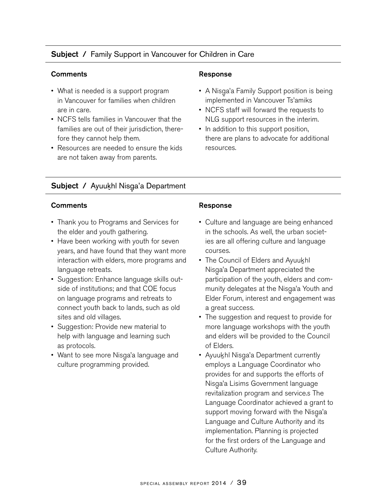## Subject / Family Support in Vancouver for Children in Care

## Comments Response

- What is needed is a support program in Vancouver for families when children are in care.
- NCFS tells families in Vancouver that the families are out of their jurisdiction, therefore they cannot help them.
- Resources are needed to ensure the kids are not taken away from parents.

- A Nisga'a Family Support position is being<br>implemented in Veneeuwer Telemike implemented in Vancouver Ts'amiks
- NCFS staff will forward the requests to NLG support resources in the interim.
- In addition to this support position, there are plans to advocate for additional resources.

## Subject / Ayuukhl Nisga'a Department

## Comments **Comments** Response

- Thank you to Programs and Services for the elder and youth gathering.
- Have been working with youth for seven years, and have found that they want more interaction with elders, more programs and language retreats.
- Suggestion: Enhance language skills outside of institutions; and that COE focus on language programs and retreats to connect youth back to lands, such as old sites and old villages.
- Suggestion: Provide new material to help with language and learning such as protocols.
- Want to see more Nisga'a language and<br>culture arecrements arouided culture programming provided.

- Culture and language are being enhanced in the schools. As well, the urban societies are all offering culture and language courses.
- The Council of Elders and Ayuukhl Nisga'a Department appreciated the<br>nationation of the vouth alders and participation of the youth, elders and community delegates at the Nisga'a Youth and<br>Elder Ferum interest and angegament wee Elder Forum, interest and engagement was a great success.
- The suggestion and request to provide for more language workshops with the youth and elders will be provided to the Council of Elders.
- Ayuukhl Nisga'a Department currently<br>complexe a Language Coordinater who employs a Language Coordinator who provides for and supports the efforts of Nisga'a Lisims Government language<br>revitalization pregram and convice a Th revitalization program and service.s The Language Coordinator achieved a grant to support moving forward with the Nisga'a<br>Language and Culture Authority and its Language and Culture Authority and its implementation. Planning is projected for the first orders of the Language and Culture Authority.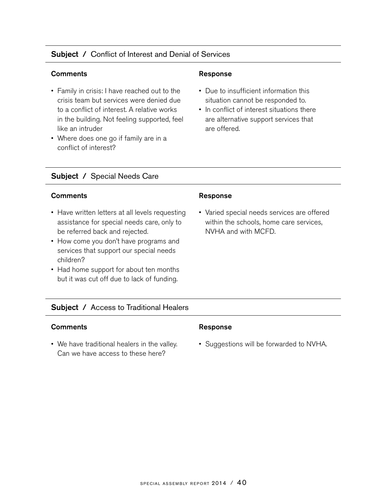## Subject / Conflict of Interest and Denial of Services

## Comments **Response**

- Family in crisis: I have reached out to the crisis team but services were denied due to a conflict of interest. A relative works in the building. Not feeling supported, feel like an intruder
- Where does one go if family are in a conflict of interest?

- Due to insufficient information this situation cannot be responded to.
- In conflict of interest situations there are alternative support services that are offered.

## Subject / Special Needs Care

### Comments Response

- Have written letters at all levels requesting assistance for special needs care, only to be referred back and rejected.
- How come you don't have programs and services that support our special needs children?
- Had home support for about ten months but it was cut off due to lack of funding.

• Varied special needs services are offered within the schools, home care services, NVHA and with MCFD.

## Subject / Access to Traditional Healers

## Comments **Comments** Response

• We have traditional healers in the valley. Can we have access to these here?

• Suggestions will be forwarded to NVHA.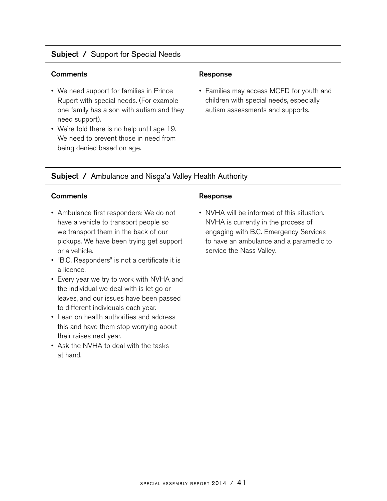## Subject / Support for Special Needs

## Comments **Comments** Response

- We need support for families in Prince Rupert with special needs. (For example one family has a son with autism and they need support).
- We're told there is no help until age 19. We need to prevent those in need from being denied based on age.

• Families may access MCFD for youth and children with special needs, especially autism assessments and supports.

## Subject / Ambulance and Nisga'a Valley Health Authority

### Comments Response

- Ambulance first responders: We do not have a vehicle to transport people so we transport them in the back of our pickups. We have been trying get support or a vehicle.
- "B.C. Responders" is not a certificate it is a licence.
- Every year we try to work with NVHA and the individual we deal with is let go or leaves, and our issues have been passed to different individuals each year.
- Lean on health authorities and address this and have them stop worrying about their raises next year.
- Ask the NVHA to deal with the tasks at hand.

• NVHA will be informed of this situation. NVHA is currently in the process of engaging with B.C. Emergency Services to have an ambulance and a paramedic to service the Nass Valley.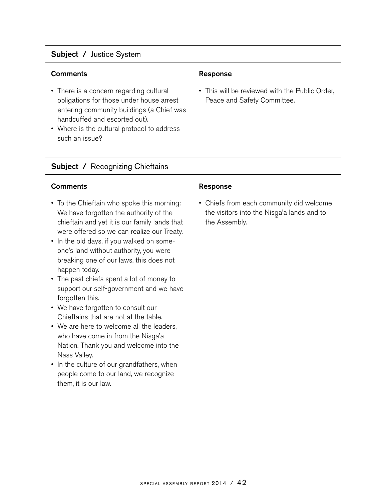## Subject / Justice System

### Comments **Response**

- There is a concern regarding cultural obligations for those under house arrest entering community buildings (a Chief was handcuffed and escorted out).
- Where is the cultural protocol to address such an issue?

• This will be reviewed with the Public Order, Peace and Safety Committee.

## Subject / Recognizing Chieftains

## Comments Response

- To the Chieftain who spoke this morning: We have forgotten the authority of the chieftain and yet it is our family lands that were offered so we can realize our Treaty.
- In the old days, if you walked on someone's land without authority, you were breaking one of our laws, this does not happen today.
- The past chiefs spent a lot of money to support our self-government and we have forgotten this.
- We have forgotten to consult our Chieftains that are not at the table.
- We are here to welcome all the leaders, who have come in from the Nisga'a<br>Nation Thark vay and vyslesme inte Nation. Thank you and welcome into the Nass Valley.
- In the culture of our grandfathers, when people come to our land, we recognize them, it is our law.

• Chiefs from each community did welcome the visitors into the Nisga'a lands and to<br>the Assambly the Assembly.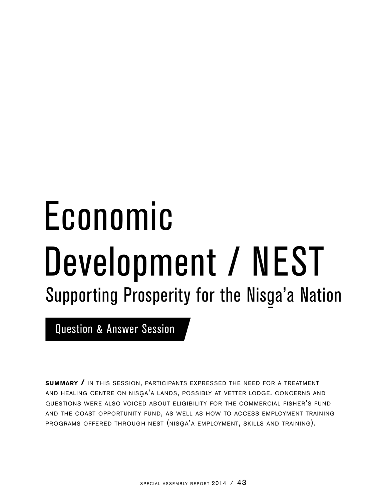# Economic Development / NEST Supporting Prosperity for the Nisga'a Nation

Question & Answer Session

**summary /** in this session, participants expressed the need for <sup>a</sup> treatment AND HEALING CENTRE ON NISGA<sup>'</sup>A LANDS, POSSIBLY AT VETTER LODGE. CONCERNS AND questions were also voiced about eligibility for the commercial fisher's fund and the coast opportunity fund, as well as how to access employment training PROGRAMS OFFERED THROUGH NEST (NISGA'A EMPLOYMENT, SKILLS AND TRAINING).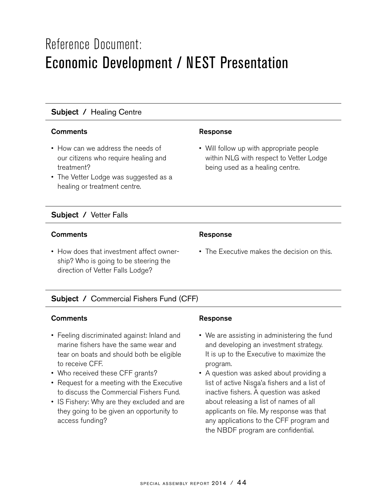## Reference Document: Economic Development / NEST Presentation

## Subject / Healing Centre

## Comments **Response**

- How can we address the needs of our citizens who require healing and treatment?
- The Vetter Lodge was suggested as a healing or treatment centre.

## Subject / Vetter Falls

## Comments **Response**

• How does that investment affect ownership? Who is going to be steering the direction of Vetter Falls Lodge?

• Will follow up with appropriate people within NLG with respect to Vetter Lodge being used as a healing centre.

• The Executive makes the decision on this.

## Subject / Commercial Fishers Fund (CFF)

## Comments **Response**

- Feeling discriminated against: Inland and marine fishers have the same wear and tear on boats and should both be eligible to receive CFF.
- Who received these CFF grants?
- Request for a meeting with the Executive to discuss the Commercial Fishers Fund.
- IS Fishery: Why are they excluded and are they going to be given an opportunity to access funding?

- We are assisting in administering the fund and developing an investment strategy. It is up to the Executive to maximize the program.
- A question was asked about providing a list of active Nisga'a fishers and a list of<br>inestive fishers. A question was asked inactive fishers. A question was asked about releasing a list of names of all applicants on file. My response was that any applications to the CFF program and the NBDF program are confidential.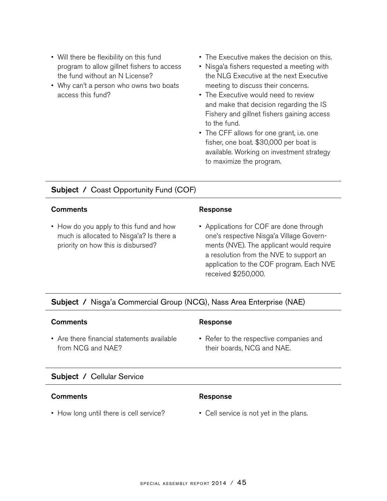- Will there be flexibility on this fund program to allow gillnet fishers to access the fund without an N License?
- Why can't a person who owns two boats access this fund?
- The Executive makes the decision on this.
- Nisga'a fishers requested a meeting with<br>https://www.itting.ct.the.next Executive the NLG Executive at the next Executive meeting to discuss their concerns.
- The Executive would need to review and make that decision regarding the IS Fishery and gillnet fishers gaining access to the fund.
- The CFF allows for one grant, i.e. one fisher, one boat. \$30,000 per boat is available. Working on investment strategy to maximize the program.

## Subject / Coast Opportunity Fund (COF)

### Comments **Response**

• How do you apply to this fund and how much is allocated to Nisga'a? Is there a<br>ariarity an have this is dishwaad? priority on how this is disbursed?

• Applications for COF are done through one's respective Nisga'a Village Govern-<br>mente (NVE). The englisent would requir ments (NVE). The applicant would require a resolution from the NVE to support an application to the COF program. Each NVE received \$250,000.

## Subject / Nisga'a Commercial Group (NCG), Nass Area Enterprise (NAE)

## Comments **Response**

• Are there financial statements available from NCG and NAE?

• Refer to the respective companies and their boards, NCG and NAE.

## Subject / Cellular Service

## Comments Response

- How long until there is cell service? Cell service is not yet in the plans.
- -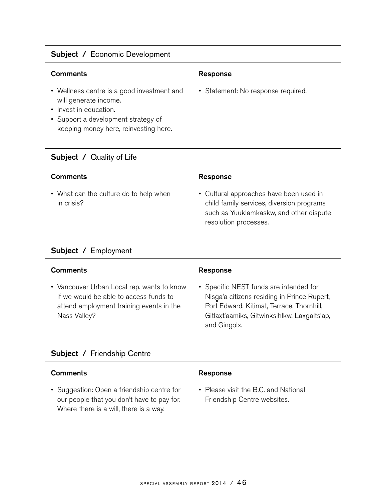## Subject / Economic Development

## Comments **Comments Response**

- Wellness centre is a good investment and will generate income.
- Invest in education.
- Support a development strategy of keeping money here, reinvesting here.

## Subject / Quality of Life

### Comments Response

• What can the culture do to help when in crisis?

• Statement: No response required.

• Cultural approaches have been used in child family services, diversion programs such as Yuuklamkaskw, and other dispute resolution processes.

## Subject / Employment

### Comments Response

• Vancouver Urban Local rep. wants to know if we would be able to access funds to attend employment training events in the Nass Valley?

• Specific NEST funds are intended for Nisga'a citizens residing in Prince Rupert,<br>Pert Edward Kitimet Terrace Therphill Port Edward, Kitimat, Terrace, Thornhill, Gitlaxt'aamiks, Gitwinksihlkw, Laxgalts'ap, and Gingolx.<br>.

## Subject / Friendship Centre

### Comments **Response**

• Suggestion: Open a friendship centre for our people that you don't have to pay for. Where there is a will, there is a way.

• Please visit the B.C. and National Friendship Centre websites.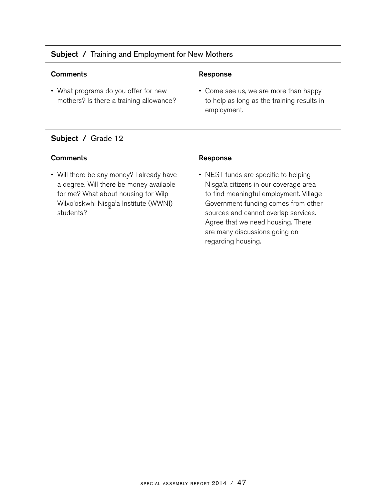## Subject / Training and Employment for New Mothers

### **Comments Comments Response**

• What programs do you offer for new mothers? Is there a training allowance?

• Come see us, we are more than happy to help as long as the training results in employment.

## Subject / Grade 12

## Comments Response

• Will there be any money? I already have a degree. Will there be money available for me? What about housing for Wilp Wilxo'oskwhl Nisga'a Institute (WWNI)<br>atudente? students?

• NEST funds are specific to helping Nisga'a citizens in our coverage area<br>te find maaningful ample mant Villeg to find meaningful employment. Village Government funding comes from other sources and cannot overlap services. Agree that we need housing. There are many discussions going on regarding housing.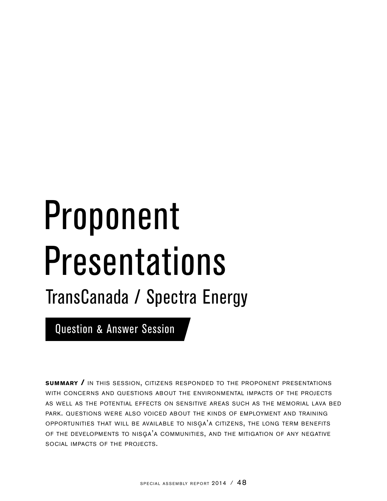# Proponent Presentations

## TransCanada / Spectra Energy

Question & Answer Session

**summary /** in this session, citizens responded to the proponent presentations with concerns and questions about the environmental impacts of the projects as well as the potential effects on sensitive areas such as the memorial lava bed park. questions were also voiced about the kinds of employment and training OPPORTUNITIES THAT WILL BE AVAILABLE TO NISGA<sup>'</sup>A CITIZENS, THE LONG TERM BENEFITS OF THE DEVELOPMENTS TO NISGA'A COMMUNITIES, AND THE MITIGATION OF ANY NEGATIVE social impacts of the projects.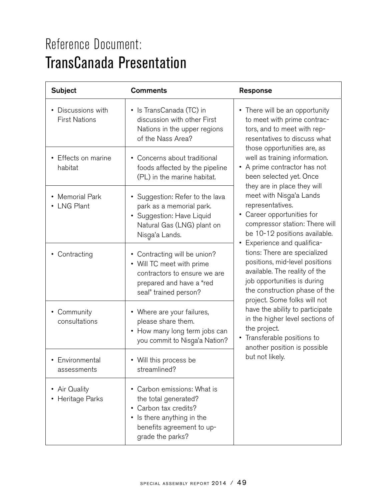## Reference Document: TransCanada Presentation

| <b>Subject</b>                             | <b>Comments</b>                                                                                                                                       | Response                                                                                                                                                                                                                                                                                                                                                                                                                                                                                                                                                                                                                                                                                                                                                                                                                                         |
|--------------------------------------------|-------------------------------------------------------------------------------------------------------------------------------------------------------|--------------------------------------------------------------------------------------------------------------------------------------------------------------------------------------------------------------------------------------------------------------------------------------------------------------------------------------------------------------------------------------------------------------------------------------------------------------------------------------------------------------------------------------------------------------------------------------------------------------------------------------------------------------------------------------------------------------------------------------------------------------------------------------------------------------------------------------------------|
| • Discussions with<br><b>First Nations</b> | • Is TransCanada (TC) in<br>discussion with other First<br>Nations in the upper regions<br>of the Nass Area?                                          | • There will be an opportunity<br>to meet with prime contrac-<br>tors, and to meet with rep-<br>resentatives to discuss what<br>those opportunities are, as<br>well as training information.<br>• A prime contractor has not<br>been selected yet. Once<br>they are in place they will<br>meet with Nisga'a Lands<br>representatives.<br>• Career opportunities for<br>compressor station: There will<br>be 10-12 positions available.<br>• Experience and qualifica-<br>tions: There are specialized<br>positions, mid-level positions<br>available. The reality of the<br>job opportunities is during<br>the construction phase of the<br>project. Some folks will not<br>have the ability to participate<br>in the higher level sections of<br>the project.<br>• Transferable positions to<br>another position is possible<br>but not likely. |
| • Effects on marine<br>habitat             | • Concerns about traditional<br>foods affected by the pipeline<br>(PL) in the marine habitat.                                                         |                                                                                                                                                                                                                                                                                                                                                                                                                                                                                                                                                                                                                                                                                                                                                                                                                                                  |
| • Memorial Park<br>• LNG Plant             | • Suggestion: Refer to the lava<br>park as a memorial park.<br>· Suggestion: Have Liquid<br>Natural Gas (LNG) plant on<br>Nisga'a Lands.              |                                                                                                                                                                                                                                                                                                                                                                                                                                                                                                                                                                                                                                                                                                                                                                                                                                                  |
| • Contracting                              | • Contracting will be union?<br>• Will TC meet with prime<br>contractors to ensure we are<br>prepared and have a "red<br>seal" trained person?        |                                                                                                                                                                                                                                                                                                                                                                                                                                                                                                                                                                                                                                                                                                                                                                                                                                                  |
| • Community<br>consultations               | • Where are your failures,<br>please share them.<br>• How many long term jobs can<br>you commit to Nisga'a Nation?                                    |                                                                                                                                                                                                                                                                                                                                                                                                                                                                                                                                                                                                                                                                                                                                                                                                                                                  |
| • Environmental<br>assessments             | • Will this process be<br>streamlined?                                                                                                                |                                                                                                                                                                                                                                                                                                                                                                                                                                                                                                                                                                                                                                                                                                                                                                                                                                                  |
| Air Quality<br>Heritage Parks              | Carbon emissions: What is<br>the total generated?<br>Carbon tax credits?<br>Is there anything in the<br>benefits agreement to up-<br>grade the parks? |                                                                                                                                                                                                                                                                                                                                                                                                                                                                                                                                                                                                                                                                                                                                                                                                                                                  |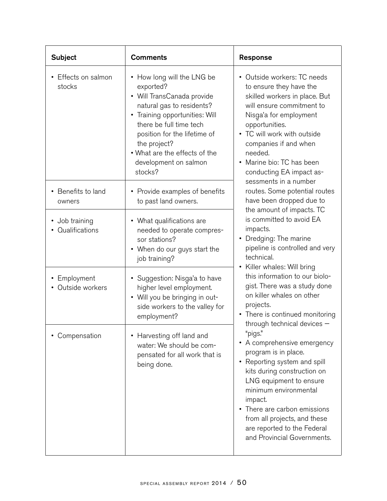| <b>Subject</b>                     | <b>Comments</b>                                                                                                                                                                                                                                                                         | Response                                                                                                                                                                                                                                                                                                                                                                                                                                                                                                                                                                                                                                                                                                                                             |
|------------------------------------|-----------------------------------------------------------------------------------------------------------------------------------------------------------------------------------------------------------------------------------------------------------------------------------------|------------------------------------------------------------------------------------------------------------------------------------------------------------------------------------------------------------------------------------------------------------------------------------------------------------------------------------------------------------------------------------------------------------------------------------------------------------------------------------------------------------------------------------------------------------------------------------------------------------------------------------------------------------------------------------------------------------------------------------------------------|
| Effects on salmon<br>stocks        | • How long will the LNG be<br>exported?<br>• Will TransCanada provide<br>natural gas to residents?<br>Training opportunities: Will<br>٠<br>there be full time tech<br>position for the lifetime of<br>the project?<br>. What are the effects of the<br>development on salmon<br>stocks? | • Outside workers: TC needs<br>to ensure they have the<br>skilled workers in place. But<br>will ensure commitment to<br>Nisga'a for employment<br>opportunities.<br>• TC will work with outside<br>companies if and when<br>needed.<br>• Marine bio: TC has been<br>conducting EA impact as-<br>sessments in a number                                                                                                                                                                                                                                                                                                                                                                                                                                |
| • Benefits to land<br>owners       | • Provide examples of benefits<br>to past land owners.                                                                                                                                                                                                                                  | routes. Some potential routes<br>have been dropped due to<br>the amount of impacts. TC<br>is committed to avoid EA<br>impacts.<br>• Dredging: The marine<br>pipeline is controlled and very<br>technical.<br>• Killer whales: Will bring<br>this information to our biolo-<br>gist. There was a study done<br>on killer whales on other<br>projects.<br>• There is continued monitoring<br>through technical devices -<br>"pigs."<br>• A comprehensive emergency<br>program is in place.<br>• Reporting system and spill<br>kits during construction on<br>LNG equipment to ensure<br>minimum environmental<br>impact.<br>• There are carbon emissions<br>from all projects, and these<br>are reported to the Federal<br>and Provincial Governments. |
| • Job training<br>• Qualifications | • What qualifications are<br>needed to operate compres-<br>sor stations?<br>• When do our guys start the<br>job training?                                                                                                                                                               |                                                                                                                                                                                                                                                                                                                                                                                                                                                                                                                                                                                                                                                                                                                                                      |
| • Employment<br>Outside workers    | Suggestion: Nisga'a to have<br>higher level employment.<br>• Will you be bringing in out-<br>side workers to the valley for<br>employment?                                                                                                                                              |                                                                                                                                                                                                                                                                                                                                                                                                                                                                                                                                                                                                                                                                                                                                                      |
| Compensation                       | Harvesting off land and<br>water: We should be com-<br>pensated for all work that is<br>being done.                                                                                                                                                                                     |                                                                                                                                                                                                                                                                                                                                                                                                                                                                                                                                                                                                                                                                                                                                                      |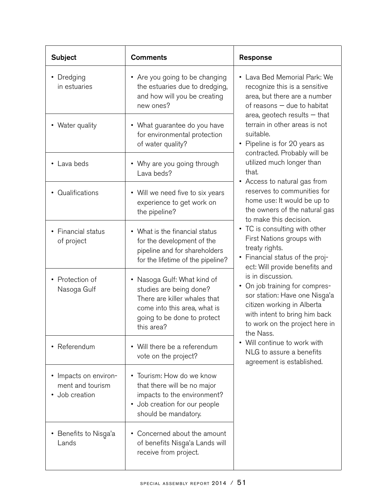| <b>Subject</b>                                              | <b>Comments</b>                                                                                                                                                     | <b>Response</b>                                                                                                                                                                                                                                                                                                                                                                                                                                                                                                                                                                                                                                                                                                                                                                                                                                                                                                                |
|-------------------------------------------------------------|---------------------------------------------------------------------------------------------------------------------------------------------------------------------|--------------------------------------------------------------------------------------------------------------------------------------------------------------------------------------------------------------------------------------------------------------------------------------------------------------------------------------------------------------------------------------------------------------------------------------------------------------------------------------------------------------------------------------------------------------------------------------------------------------------------------------------------------------------------------------------------------------------------------------------------------------------------------------------------------------------------------------------------------------------------------------------------------------------------------|
| • Dredging<br>in estuaries                                  | • Are you going to be changing<br>the estuaries due to dredging,<br>and how will you be creating<br>new ones?                                                       | • Lava Bed Memorial Park: We<br>recognize this is a sensitive<br>area, but there are a number<br>of reasons - due to habitat<br>area, geotech results $-$ that<br>terrain in other areas is not<br>suitable.<br>• Pipeline is for 20 years as<br>contracted. Probably will be<br>utilized much longer than<br>that.<br>• Access to natural gas from<br>reserves to communities for<br>home use: It would be up to<br>the owners of the natural gas<br>to make this decision.<br>• TC is consulting with other<br>First Nations groups with<br>treaty rights.<br>• Financial status of the proj-<br>ect: Will provide benefits and<br>is in discussion.<br>• On job training for compres-<br>sor station: Have one Nisga'a<br>citizen working in Alberta<br>with intent to bring him back<br>to work on the project here in<br>the Nass.<br>Will continue to work with<br>NLG to assure a benefits<br>agreement is established. |
| • Water quality                                             | • What guarantee do you have<br>for environmental protection<br>of water quality?                                                                                   |                                                                                                                                                                                                                                                                                                                                                                                                                                                                                                                                                                                                                                                                                                                                                                                                                                                                                                                                |
| • Lava beds                                                 | • Why are you going through<br>Lava beds?                                                                                                                           |                                                                                                                                                                                                                                                                                                                                                                                                                                                                                                                                                                                                                                                                                                                                                                                                                                                                                                                                |
| • Qualifications                                            | • Will we need five to six years<br>experience to get work on<br>the pipeline?                                                                                      |                                                                                                                                                                                                                                                                                                                                                                                                                                                                                                                                                                                                                                                                                                                                                                                                                                                                                                                                |
| • Financial status<br>of project                            | • What is the financial status<br>for the development of the<br>pipeline and for shareholders<br>for the lifetime of the pipeline?                                  |                                                                                                                                                                                                                                                                                                                                                                                                                                                                                                                                                                                                                                                                                                                                                                                                                                                                                                                                |
| • Protection of<br>Nasoga Gulf                              | • Nasoga Gulf: What kind of<br>studies are being done?<br>There are killer whales that<br>come into this area, what is<br>going to be done to protect<br>this area? |                                                                                                                                                                                                                                                                                                                                                                                                                                                                                                                                                                                                                                                                                                                                                                                                                                                                                                                                |
| Referendum                                                  | • Will there be a referendum<br>vote on the project?                                                                                                                |                                                                                                                                                                                                                                                                                                                                                                                                                                                                                                                                                                                                                                                                                                                                                                                                                                                                                                                                |
| • Impacts on environ-<br>ment and tourism<br>• Job creation | • Tourism: How do we know<br>that there will be no major<br>impacts to the environment?<br>• Job creation for our people<br>should be mandatory.                    |                                                                                                                                                                                                                                                                                                                                                                                                                                                                                                                                                                                                                                                                                                                                                                                                                                                                                                                                |
| • Benefits to Nisga'a<br>Lands                              | • Concerned about the amount<br>of benefits Nisga'a Lands will<br>receive from project.                                                                             |                                                                                                                                                                                                                                                                                                                                                                                                                                                                                                                                                                                                                                                                                                                                                                                                                                                                                                                                |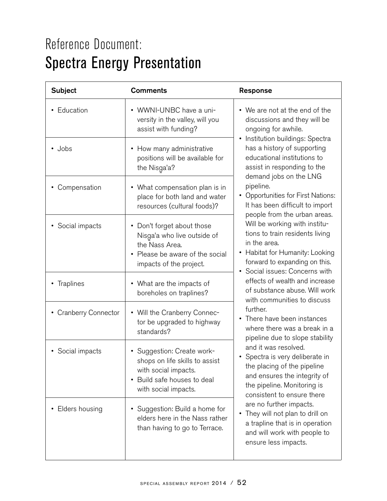## Reference Document: Spectra Energy Presentation

| <b>Subject</b>        | <b>Comments</b>                                                                                                                                        | Response                                                                                                                                                                                                                                                                                                                                                                                                                                                                                                                                                                                                                                                                                                                                                                                                                                                                                                                                                                                                                                                                                                                                     |
|-----------------------|--------------------------------------------------------------------------------------------------------------------------------------------------------|----------------------------------------------------------------------------------------------------------------------------------------------------------------------------------------------------------------------------------------------------------------------------------------------------------------------------------------------------------------------------------------------------------------------------------------------------------------------------------------------------------------------------------------------------------------------------------------------------------------------------------------------------------------------------------------------------------------------------------------------------------------------------------------------------------------------------------------------------------------------------------------------------------------------------------------------------------------------------------------------------------------------------------------------------------------------------------------------------------------------------------------------|
| • Education           | • WWNI-UNBC have a uni-<br>versity in the valley, will you<br>assist with funding?                                                                     | • We are not at the end of the<br>discussions and they will be<br>ongoing for awhile.<br>• Institution buildings: Spectra<br>has a history of supporting<br>educational institutions to<br>assist in responding to the<br>demand jobs on the LNG<br>pipeline.<br>• Opportunities for First Nations:<br>It has been difficult to import<br>people from the urban areas.<br>Will be working with institu-<br>tions to train residents living<br>in the area.<br>• Habitat for Humanity: Looking<br>forward to expanding on this.<br>• Social issues: Concerns with<br>effects of wealth and increase<br>of substance abuse. Will work<br>with communities to discuss<br>further.<br>• There have been instances<br>where there was a break in a<br>pipeline due to slope stability<br>and it was resolved.<br>• Spectra is very deliberate in<br>the placing of the pipeline<br>and ensures the integrity of<br>the pipeline. Monitoring is<br>consistent to ensure there<br>are no further impacts.<br>They will not plan to drill on<br>$\bullet$<br>a trapline that is in operation<br>and will work with people to<br>ensure less impacts. |
| • Jobs                | • How many administrative<br>positions will be available for<br>the Nisga'a?                                                                           |                                                                                                                                                                                                                                                                                                                                                                                                                                                                                                                                                                                                                                                                                                                                                                                                                                                                                                                                                                                                                                                                                                                                              |
| • Compensation        | • What compensation plan is in<br>place for both land and water<br>resources (cultural foods)?                                                         |                                                                                                                                                                                                                                                                                                                                                                                                                                                                                                                                                                                                                                                                                                                                                                                                                                                                                                                                                                                                                                                                                                                                              |
| • Social impacts      | • Don't forget about those<br>Nisga'a who live outside of<br>the Nass Area.<br>• Please be aware of the social<br>impacts of the project.              |                                                                                                                                                                                                                                                                                                                                                                                                                                                                                                                                                                                                                                                                                                                                                                                                                                                                                                                                                                                                                                                                                                                                              |
| • Traplines           | • What are the impacts of<br>boreholes on traplines?                                                                                                   |                                                                                                                                                                                                                                                                                                                                                                                                                                                                                                                                                                                                                                                                                                                                                                                                                                                                                                                                                                                                                                                                                                                                              |
| • Cranberry Connector | • Will the Cranberry Connec-<br>tor be upgraded to highway<br>standards?                                                                               |                                                                                                                                                                                                                                                                                                                                                                                                                                                                                                                                                                                                                                                                                                                                                                                                                                                                                                                                                                                                                                                                                                                                              |
| • Social impacts      | • Suggestion: Create work-<br>shops on life skills to assist<br>with social impacts.<br>Build safe houses to deal<br>$\bullet$<br>with social impacts. |                                                                                                                                                                                                                                                                                                                                                                                                                                                                                                                                                                                                                                                                                                                                                                                                                                                                                                                                                                                                                                                                                                                                              |
| Elders housing        | • Suggestion: Build a home for<br>elders here in the Nass rather<br>than having to go to Terrace.                                                      |                                                                                                                                                                                                                                                                                                                                                                                                                                                                                                                                                                                                                                                                                                                                                                                                                                                                                                                                                                                                                                                                                                                                              |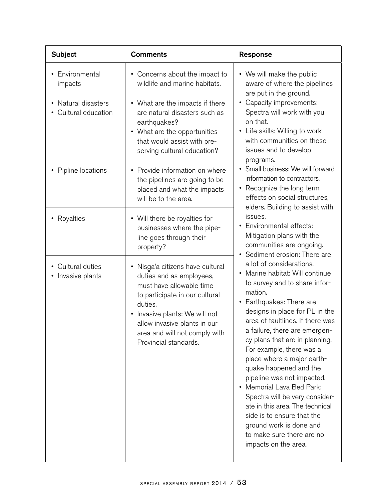| <b>Subject</b>                            | <b>Comments</b>                                                                                                                                                                                                                                                 | Response                                                                                                                                                                                                                                                                                                                                                                                                                                                                                                                                                                                                                                                                                                                                                                                                                                                                                                                                                                                                                                                                                                                                                                             |
|-------------------------------------------|-----------------------------------------------------------------------------------------------------------------------------------------------------------------------------------------------------------------------------------------------------------------|--------------------------------------------------------------------------------------------------------------------------------------------------------------------------------------------------------------------------------------------------------------------------------------------------------------------------------------------------------------------------------------------------------------------------------------------------------------------------------------------------------------------------------------------------------------------------------------------------------------------------------------------------------------------------------------------------------------------------------------------------------------------------------------------------------------------------------------------------------------------------------------------------------------------------------------------------------------------------------------------------------------------------------------------------------------------------------------------------------------------------------------------------------------------------------------|
| • Environmental<br>impacts                | • Concerns about the impact to<br>wildlife and marine habitats.                                                                                                                                                                                                 | • We will make the public<br>aware of where the pipelines<br>are put in the ground.<br>• Capacity improvements:<br>Spectra will work with you<br>on that.<br>• Life skills: Willing to work<br>with communities on these<br>issues and to develop<br>programs.<br>• Small business: We will forward<br>information to contractors.<br>• Recognize the long term<br>effects on social structures,<br>elders. Building to assist with<br>issues.<br>• Environmental effects:<br>Mitigation plans with the<br>communities are ongoing.<br>• Sediment erosion: There are<br>a lot of considerations.<br>• Marine habitat: Will continue<br>to survey and to share infor-<br>mation.<br>• Earthquakes: There are<br>designs in place for PL in the<br>area of faultlines. If there was<br>a failure, there are emergen-<br>cy plans that are in planning.<br>For example, there was a<br>place where a major earth-<br>quake happened and the<br>pipeline was not impacted.<br>Memorial Lava Bed Park:<br>Spectra will be very consider-<br>ate in this area. The technical<br>side is to ensure that the<br>ground work is done and<br>to make sure there are no<br>impacts on the area. |
| • Natural disasters<br>Cultural education | • What are the impacts if there<br>are natural disasters such as<br>earthquakes?<br>• What are the opportunities<br>that would assist with pre-<br>serving cultural education?                                                                                  |                                                                                                                                                                                                                                                                                                                                                                                                                                                                                                                                                                                                                                                                                                                                                                                                                                                                                                                                                                                                                                                                                                                                                                                      |
| • Pipline locations                       | • Provide information on where<br>the pipelines are going to be<br>placed and what the impacts<br>will be to the area.                                                                                                                                          |                                                                                                                                                                                                                                                                                                                                                                                                                                                                                                                                                                                                                                                                                                                                                                                                                                                                                                                                                                                                                                                                                                                                                                                      |
| • Royalties                               | • Will there be royalties for<br>businesses where the pipe-<br>line goes through their<br>property?                                                                                                                                                             |                                                                                                                                                                                                                                                                                                                                                                                                                                                                                                                                                                                                                                                                                                                                                                                                                                                                                                                                                                                                                                                                                                                                                                                      |
| • Cultural duties<br>• Invasive plants    | Nisga'a citizens have cultural<br>duties and as employees,<br>must have allowable time<br>to participate in our cultural<br>duties.<br>• Invasive plants: We will not<br>allow invasive plants in our<br>area and will not comply with<br>Provincial standards. |                                                                                                                                                                                                                                                                                                                                                                                                                                                                                                                                                                                                                                                                                                                                                                                                                                                                                                                                                                                                                                                                                                                                                                                      |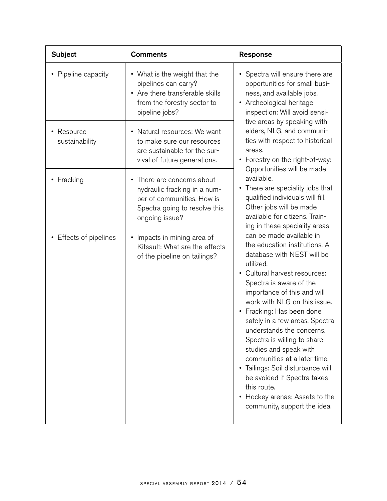| <b>Subject</b>               | <b>Comments</b>                                                                                                                             | Response                                                                                                                                                                                                                                                                                                                                                                                                                                                                                                                                                                  |
|------------------------------|---------------------------------------------------------------------------------------------------------------------------------------------|---------------------------------------------------------------------------------------------------------------------------------------------------------------------------------------------------------------------------------------------------------------------------------------------------------------------------------------------------------------------------------------------------------------------------------------------------------------------------------------------------------------------------------------------------------------------------|
| • Pipeline capacity          | • What is the weight that the<br>pipelines can carry?<br>• Are there transferable skills<br>from the forestry sector to<br>pipeline jobs?   | • Spectra will ensure there are<br>opportunities for small busi-<br>ness, and available jobs.<br>• Archeological heritage<br>inspection: Will avoid sensi-<br>tive areas by speaking with<br>elders, NLG, and communi-<br>ties with respect to historical<br>areas.<br>• Forestry on the right-of-way:<br>Opportunities will be made<br>available.<br>• There are speciality jobs that<br>qualified individuals will fill.<br>Other jobs will be made<br>available for citizens. Train-<br>ing in these speciality areas                                                  |
| • Resource<br>sustainability | • Natural resources: We want<br>to make sure our resources<br>are sustainable for the sur-<br>vival of future generations.                  |                                                                                                                                                                                                                                                                                                                                                                                                                                                                                                                                                                           |
| • Fracking                   | • There are concerns about<br>hydraulic fracking in a num-<br>ber of communities. How is<br>Spectra going to resolve this<br>ongoing issue? |                                                                                                                                                                                                                                                                                                                                                                                                                                                                                                                                                                           |
| • Effects of pipelines       | • Impacts in mining area of<br>Kitsault: What are the effects<br>of the pipeline on tailings?                                               | can be made available in<br>the education institutions. A<br>database with NEST will be<br>utilized.<br>• Cultural harvest resources:<br>Spectra is aware of the<br>importance of this and will<br>work with NLG on this issue.<br>• Fracking: Has been done<br>safely in a few areas. Spectra<br>understands the concerns.<br>Spectra is willing to share<br>studies and speak with<br>communities at a later time.<br>• Tailings: Soil disturbance will<br>be avoided if Spectra takes<br>this route.<br>• Hockey arenas: Assets to the<br>community, support the idea. |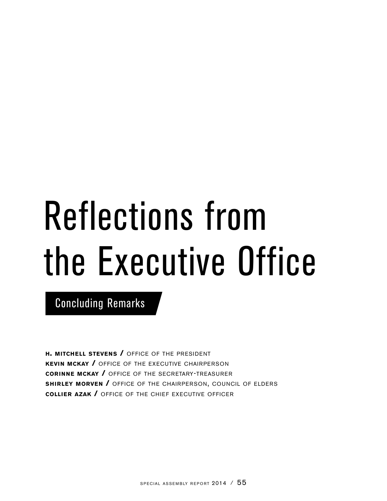# Reflections from the Executive Office

Concluding Remarks

**h. mitchell stevens /** office of the president **kevin mckay /** office of the executive chairperson **corinne mckay /** office of the secretary-treasurer **shirley morven /** office of the chairperson, council of elders **collier azak /** office of the chief executive officer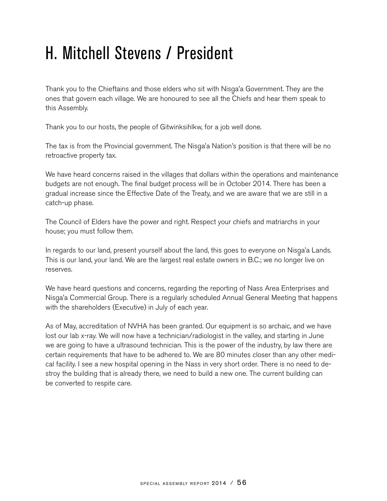## H. Mitchell Stevens / President

Thank you to the Chieftains and those elders who sit with Nisga'a Government. They are the<br>anno that govern aash village. We are hangured to ass all the Chiefe and has them angels to ones that govern each village. We are honoured to see all the Chiefs and hear them speak to this Assembly.

Thank you to our hosts, the people of Gitwinksihlkw, for a job well done.

The tax is from the Provincial government. The Nisga'a Nation's position is that there will be no<br>retroective preparty toy retroactive property tax.

We have heard concerns raised in the villages that dollars within the operations and maintenance budgets are not enough. The final budget process will be in October 2014. There has been a gradual increase since the Effective Date of the Treaty, and we are aware that we are still in a catch-up phase.

The Council of Elders have the power and right. Respect your chiefs and matriarchs in your house; you must follow them.

In regards to our land, present yourself about the land, this goes to everyone on Nisga'a Lands.<br>This is aux land your land We are the largest real estate surpare in B.C. we as langer live an This is our land, your land. We are the largest real estate owners in B.C.; we no longer live on reserves.

We have heard questions and concerns, regarding the reporting of Nass Area Enterprises and Nisga'a Commercial Group. There is a regularly scheduled Annual General Meeting that happens<br>with the shareholders (Executive) in July of seeb veer. with the shareholders (Executive) in July of each year.

As of May, accreditation of NVHA has been granted. Our equipment is so archaic, and we have lost our lab x-ray. We will now have a technician/radiologist in the valley, and starting in June we are going to have a ultrasound technician. This is the power of the industry, by law there are certain requirements that have to be adhered to. We are 80 minutes closer than any other medical facility. I see a new hospital opening in the Nass in very short order. There is no need to destroy the building that is already there, we need to build a new one. The current building can be converted to respite care.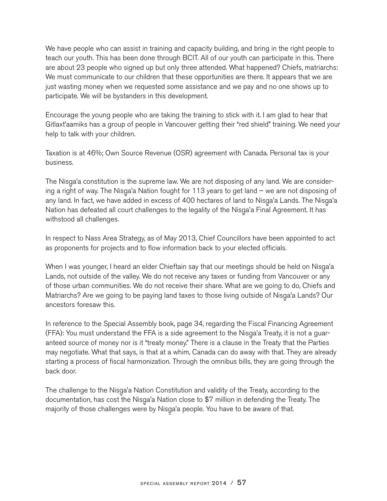We have people who can assist in training and capacity building, and bring in the right people to teach our youth. This has been done through BCIT. All of our youth can participate in this. There are about 23 people who signed up but only three attended. What happened? Chiefs, matriarchs: We must communicate to our children that these opportunities are there. It appears that we are just wasting money when we requested some assistance and we pay and no one shows up to participate. We will be bystanders in this development.

Encourage the young people who are taking the training to stick with it. I am glad to hear that Gitlaxt'aamiks has a group of people in Vancouver getting their "red shield" training. We need your help to talk with your children.

Taxation is at 46%; Own Source Revenue (OSR) agreement with Canada. Personal tax is your business.

The Nisga'a constitution is the supreme law. We are not disposing of any land. We are consider-<br>in a stight of way The Niega's Nation fought for 112 years to get land www.are not disposing a ing a right of way. The Nisga'a Nation fought for 113 years to get land – we are not disposing of<br>caushed in fact we have added in aveces of 400 hasterse of land to Nisga's Lands. The Nisga's any land. In fact, we have added in excess of 400 hectares of land to Nisga'a Lands. The Nisga'a<br>Nation has defected all sourt abellences to the locality of the Nisga's Final Assessment, It has Nation has defeated all court challenges to the legality of the Nisga'a Final Agreement. It has<br>withetaad all aballanges withstood all challenges.

In respect to Nass Area Strategy, as of May 2013, Chief Councillors have been appointed to act as proponents for projects and to flow information back to your elected officials.

When I was younger, I heard an elder Chieftain say that our meetings should be held on Nisga'a<br>Lande not autoide of the vallay We de not reasive any tayog or funding from Venesurer as any Lands, not outside of the valley. We do not receive any taxes or funding from Vancouver or any of those urban communities. We do not receive their share. What are we going to do, Chiefs and Matriarchs? Are we going to be paying land taxes to those living outside of Nisga'a Lands? Our<br>assessives farses within ancestors foresaw this.

In reference to the Special Assembly book, page 34, regarding the Fiscal Financing Agreement (FFA): You must understand the FFA is a side agreement to the Nisga'a Treaty, it is not a guar-<br>antacel acures of menou nor is it "treaty menoy". There is a clause in the Treaty that the Pertiac anteed source of money nor is it "treaty money." There is a clause in the Treaty that the Parties may negotiate. What that says, is that at a whim, Canada can do away with that. They are already starting a process of fiscal harmonization. Through the omnibus bills, they are going through the back door.

The challenge to the Nisga'a Nation Constitution and validity of the Treaty, according to the decumentation has easy the Nisga's Nation class to \$7 million in defauding the Treaty The documentation, has cost the Nisga'a Nation close to \$7 million in defending the Treaty. The<br>maiarity of these shallanges were by Nisga's nearle You have to be aware of thet majority of those challenges were by Nisga'a people. You have to be aware of that.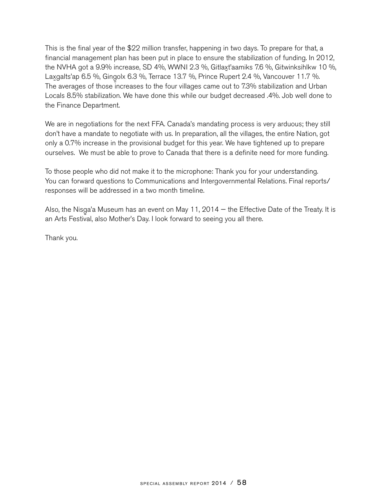This is the final year of the \$22 million transfer, happening in two days. To prepare for that, a financial management plan has been put in place to ensure the stabilization of funding. In 2012, the NVHA got a 9.9% increase, SD 4%, WWNI 2.3 %, Gitlaxt'aamiks 7.6 %, Gitwinksihlkw 10 %,<br>. Laxgalts'ap 6.5 %, Gingolx 6.3 %, Terrace 13.7 %, Prince Rupert 2.4 %, Vancouver 11.7 %.<br>The averages of these increases to the four villages same out to 72% stabilization and Uthe The averages of those increases to the four villages came out to 7.3% stabilization and Urban Locals 8.5% stabilization. We have done this while our budget decreased .4%. Job well done to the Finance Department.

We are in negotiations for the next FFA. Canada's mandating process is very arduous; they still don't have a mandate to negotiate with us. In preparation, all the villages, the entire Nation, got only a 0.7% increase in the provisional budget for this year. We have tightened up to prepare ourselves. We must be able to prove to Canada that there is a definite need for more funding.

To those people who did not make it to the microphone: Thank you for your understanding. You can forward questions to Communications and Intergovernmental Relations. Final reports/ responses will be addressed in a two month timeline.

Also, the Nisga'a Museum has an event on May 11, 2014 – the Effective Date of the Treaty. It is<br>an Arte Fectival also Mather's Day Haak fanyard to seeing you all there an Arts Festival, also Mother's Day. I look forward to seeing you all there.

Thank you.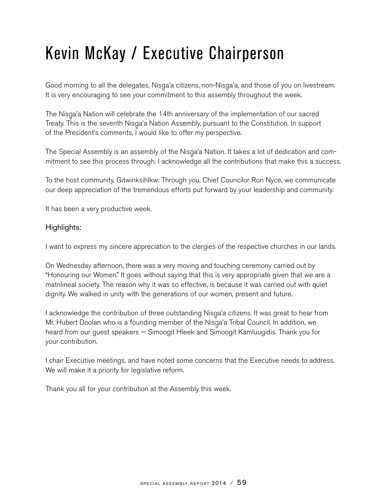## Kevin McKay / Executive Chairperson

Good morning to all the delegates, Nisga'a citizens, non-Nisga'a, and those of you on livestream.<br>It is very appeuracing to see your commitment to this essembly throughout the week. It is very encouraging to see your commitment to this assembly throughout the week.

The Nisga'a Nation will celebrate the 14th anniversary of the implementation of our sacred<br>Treaty This is the soventh Nisga's Nation Assembly nursuant to the Constitution In support Treaty. This is the seventh Nisga'a Nation Assembly, pursuant to the Constitution. In support<br>of the President's comments I would like to effer my perspective of the President's comments, I would like to offer my perspective.

The Special Assembly is an assembly of the Nisga'a Nation. It takes a lot of dedication and com-<br>mitment to see this presess through Legknowledge all the contributions that make this a success mitment to see this process through. I acknowledge all the contributions that make this a success.

To the host community, Gitwinksihlkw: Through you, Chief Councilor Ron Nyce, we communicate our deep appreciation of the tremendous efforts put forward by your leadership and community.

It has been a very productive week.

## Highlights:

I want to express my sincere appreciation to the clergies of the respective churches in our lands.

On Wednesday afternoon, there was a very moving and touching ceremony carried out by "Honouring our Women." It goes without saying that this is very appropriate given that we are a matrilineal society. The reason why it was so effective, is because it was carried out with quiet dignity. We walked in unity with the generations of our women, present and future.

I acknowledge the contribution of three outstanding Nisga'a citizens. It was great to hear from<br>Mr. Llubert Deelen who is a founding member of the Niega's Tribel Council. In addition we Mr. Hubert Doolan who is a founding member of the Nisga'a Tribal Council. In addition, we<br>haard from our quest angelere — Simeegit Hleek and Simeegit Kemburgidie. Thank you fo heard from our guest speakers — Simoogit Hleek and Simoogit Kamluugidis. Thank you for your contribution.

I chair Executive meetings, and have noted some concerns that the Executive needs to address. We will make it a priority for legislative reform.

Thank you all for your contribution at the Assembly this week.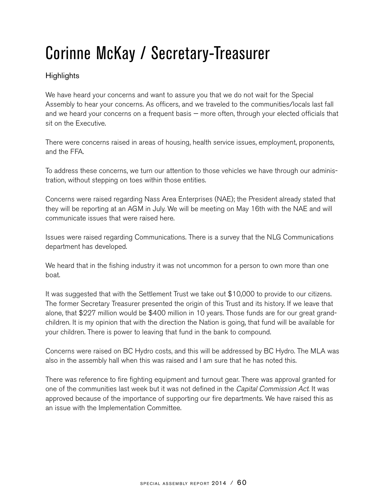## Corinne McKay / Secretary-Treasurer

## **Highlights**

We have heard your concerns and want to assure you that we do not wait for the Special Assembly to hear your concerns. As officers, and we traveled to the communities/locals last fall and we heard your concerns on a frequent basis — more often, through your elected officials that sit on the Executive.

There were concerns raised in areas of housing, health service issues, employment, proponents, and the FFA.

To address these concerns, we turn our attention to those vehicles we have through our administration, without stepping on toes within those entities.

Concerns were raised regarding Nass Area Enterprises (NAE); the President already stated that they will be reporting at an AGM in July. We will be meeting on May 16th with the NAE and will communicate issues that were raised here.

Issues were raised regarding Communications. There is a survey that the NLG Communications department has developed.

We heard that in the fishing industry it was not uncommon for a person to own more than one boat.

It was suggested that with the Settlement Trust we take out \$10,000 to provide to our citizens. The former Secretary Treasurer presented the origin of this Trust and its history. If we leave that alone, that \$227 million would be \$400 million in 10 years. Those funds are for our great grandchildren. It is my opinion that with the direction the Nation is going, that fund will be available for your children. There is power to leaving that fund in the bank to compound.

Concerns were raised on BC Hydro costs, and this will be addressed by BC Hydro. The MLA was also in the assembly hall when this was raised and I am sure that he has noted this.

There was reference to fire fighting equipment and turnout gear. There was approval granted for one of the communities last week but it was not defined in the *Capital Commission Act.* It was approved because of the importance of supporting our fire departments. We have raised this as an issue with the Implementation Committee.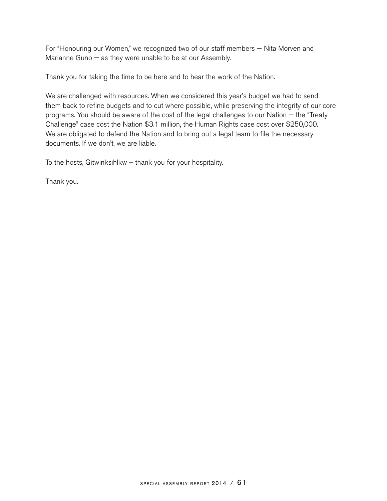For "Honouring our Women," we recognized two of our staff members — Nita Morven and Marianne Guno — as they were unable to be at our Assembly.

Thank you for taking the time to be here and to hear the work of the Nation.

We are challenged with resources. When we considered this year's budget we had to send them back to refine budgets and to cut where possible, while preserving the integrity of our core programs. You should be aware of the cost of the legal challenges to our Nation — the "Treaty Challenge" case cost the Nation \$3.1 million, the Human Rights case cost over \$250,000. We are obligated to defend the Nation and to bring out a legal team to file the necessary documents. If we don't, we are liable.

To the hosts, Gitwinksihlkw – thank you for your hospitality.

Thank you.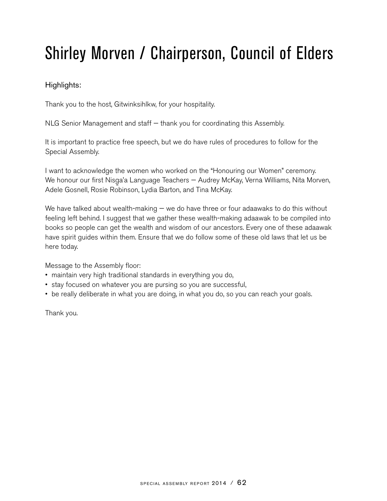## Shirley Morven / Chairperson, Council of Elders

## Highlights:

Thank you to the host, Gitwinksihlkw, for your hospitality.

NLG Senior Management and staff — thank you for coordinating this Assembly.

It is important to practice free speech, but we do have rules of procedures to follow for the Special Assembly.

I want to acknowledge the women who worked on the "Honouring our Women" ceremony. We honour our first Nisga'a Language Teachers — Audrey McKay, Verna Williams, Nita Morven,<br>Adela Casnell, Pasis Rabineen, Ludia Parten, and Tine McKay, Adele Gosnell, Rosie Robinson, Lydia Barton, and Tina McKay.

We have talked about wealth-making  $-$  we do have three or four adaawaks to do this without feeling left behind. I suggest that we gather these wealth-making adaawak to be compiled into books so people can get the wealth and wisdom of our ancestors. Every one of these adaawak have spirit guides within them. Ensure that we do follow some of these old laws that let us be here today.

Message to the Assembly floor:

- maintain very high traditional standards in everything you do,
- stay focused on whatever you are pursing so you are successful,
- be really deliberate in what you are doing, in what you do, so you can reach your goals.

Thank you.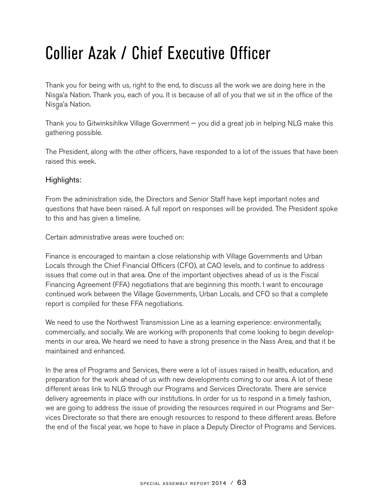## Collier Azak / Chief Executive Officer

Thank you for being with us, right to the end, to discuss all the work we are doing here in the Nisga'a Nation. Thank you, each of you. It is because of all of you that we sit in the office of the<br>Niega's Nation Nisga'a Nation.<br>'

Thank you to Gitwinksihlkw Village Government — you did a great job in helping NLG make this gathering possible.

The President, along with the other officers, have responded to a lot of the issues that have been raised this week.

## Highlights:

From the administration side, the Directors and Senior Staff have kept important notes and questions that have been raised. A full report on responses will be provided. The President spoke to this and has given a timeline.

Certain administrative areas were touched on:

Finance is encouraged to maintain a close relationship with Village Governments and Urban Locals through the Chief Financial Officers (CFO), at CAO levels, and to continue to address issues that come out in that area. One of the important objectives ahead of us is the Fiscal Financing Agreement (FFA) negotiations that are beginning this month. I want to encourage continued work between the Village Governments, Urban Locals, and CFO so that a complete report is compiled for these FFA negotiations.

We need to use the Northwest Transmission Line as a learning experience: environmentally, commercially, and socially. We are working with proponents that come looking to begin developments in our area. We heard we need to have a strong presence in the Nass Area, and that it be maintained and enhanced.

In the area of Programs and Services, there were a lot of issues raised in health, education, and preparation for the work ahead of us with new developments coming to our area. A lot of these different areas link to NLG through our Programs and Services Directorate. There are service delivery agreements in place with our institutions. In order for us to respond in a timely fashion, we are going to address the issue of providing the resources required in our Programs and Services Directorate so that there are enough resources to respond to these different areas. Before the end of the fiscal year, we hope to have in place a Deputy Director of Programs and Services.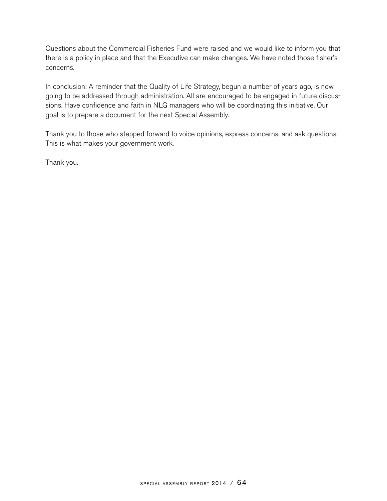Questions about the Commercial Fisheries Fund were raised and we would like to inform you that there is a policy in place and that the Executive can make changes. We have noted those fisher's concerns.

In conclusion: A reminder that the Quality of Life Strategy, begun a number of years ago, is now going to be addressed through administration. All are encouraged to be engaged in future discussions. Have confidence and faith in NLG managers who will be coordinating this initiative. Our goal is to prepare a document for the next Special Assembly.

Thank you to those who stepped forward to voice opinions, express concerns, and ask questions. This is what makes your government work.

Thank you.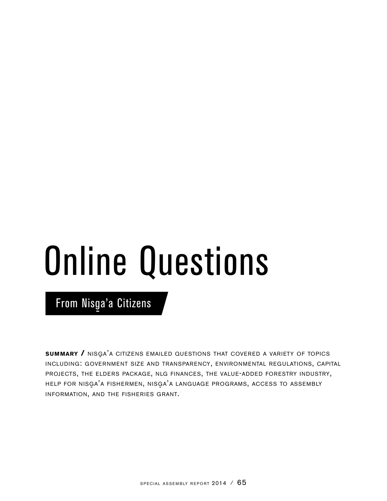# Online Questions

From Nisga'a Citizens

**SUMMARY /** NISGA'A CITIZENS EMAILED QUESTIONS THAT COVERED A VARIETY OF TOPICS including: government size and transparency, environmental regulations, capital projects, the elders package, nlg finances, the value-added forestry industry, HELP FOR NISGA'A FISHERMEN, NISGA'A LANGUAGE PROGRAMS, ACCESS TO ASSEMBLY information, and the fisheries grant.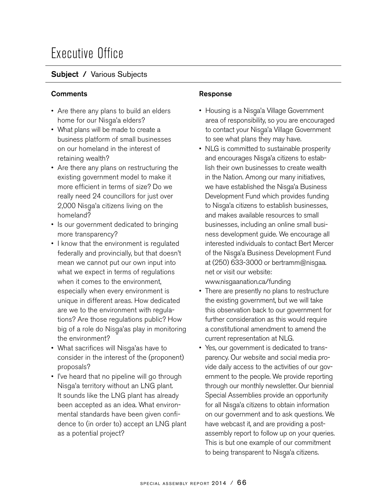## Executive Office

## Subject / Various Subjects

## **Comments Comments Response**

- Are there any plans to build an elders home for our Nisga'a elders?<br>What plane will be mode to era
- What plans will be made to create a business platform of small businesses on our homeland in the interest of retaining wealth?
- Are there any plans on restructuring the existing government model to make it more efficient in terms of size? Do we really need 24 councillors for just over 2,000 Nisga'a citizens living on the<br>berasland<sup>0</sup> homeland?
- Is our government dedicated to bringing more transparency?
- I know that the environment is regulated federally and provincially, but that doesn't mean we cannot put our own input into what we expect in terms of regulations when it comes to the environment, especially when every environment is unique in different areas. How dedicated are we to the environment with regulations? Are those regulations public? How big of a role do Nisga'as play in monitoring<br>the envirament? the environment?
- What sacrifices will Nisga'as have to  $\frac{1}{2}$  canceler in the interest of the (group) consider in the interest of the (proponent) proposals?
- I've heard that no pipeline will go through Nisga'a territory without an LNG plant. It sounds like the LNG plant has already been accepted as an idea. What environmental standards have been given confidence to (in order to) accept an LNG plant as a potential project?

- Housing is a Nisga'a Village Government<br>cree of reepensibility as you are appeured area of responsibility, so you are encouraged to contact your Nisga'a Village Government<br>te see vihet plane they may be ve to see what plans they may have.
- NLG is committed to sustainable prosperity and encourages Nisga'a citizens to estab-<br>ligh their awn businesses to crests weelth lish their own businesses to create wealth in the Nation. Among our many initiatives, we have established the Nisga'a Business<br>Development Eund which provides funding Development Fund which provides funding to Nisga'a citizens to establish businesses,<br>and makes available resources to small. and makes available resources to small businesses, including an online small business development guide. We encourage all interested individuals to contact Bert Mercer of the Nisga'a Business Development Fund<br>et (050) 622,2000 as hartsann@niasse at (250) 633-3000 or bertramm@nisgaa. net or visit our website:

www.nisgaanation.ca/funding

- There are presently no plans to restructure the existing government, but we will take this observation back to our government for further consideration as this would require a constitutional amendment to amend the current representation at NLG.
- Yes, our government is dedicated to transparency. Our website and social media provide daily access to the activities of our government to the people. We provide reporting through our monthly newsletter. Our biennial Special Assemblies provide an opportunity for all Nisga'a citizens to obtain information<br>an eur revernment and to sels ruestians M on our government and to ask questions. We have webcast it, and are providing a postassembly report to follow up on your queries. This is but one example of our commitment to being transparent to Nisga'a citizens.<br>'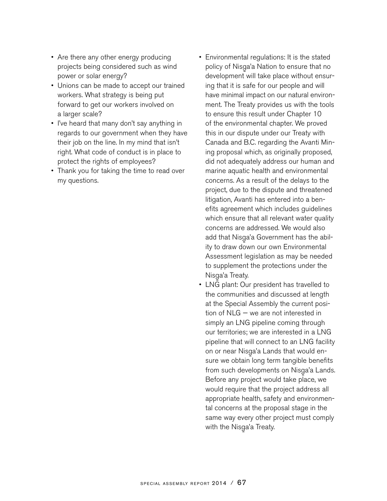- Are there any other energy producing projects being considered such as wind power or solar energy?
- Unions can be made to accept our trained workers. What strategy is being put forward to get our workers involved on a larger scale?
- I've heard that many don't say anything in regards to our government when they have their job on the line. In my mind that isn't right. What code of conduct is in place to protect the rights of employees?
- Thank you for taking the time to read over my questions.
- Environmental regulations: It is the stated policy of Nisga'a Nation to ensure that no<br>development will take alone without answe development will take place without ensuring that it is safe for our people and will have minimal impact on our natural environment. The Treaty provides us with the tools to ensure this result under Chapter 10 of the environmental chapter. We proved this in our dispute under our Treaty with Canada and B.C. regarding the Avanti Mining proposal which, as originally proposed, did not adequately address our human and marine aquatic health and environmental concerns. As a result of the delays to the project, due to the dispute and threatened litigation, Avanti has entered into a benefits agreement which includes guidelines which ensure that all relevant water quality concerns are addressed. We would also add that Nisga'a Government has the abil-<br>ity to draw down aux awn Environmental ity to draw down our own Environmental Assessment legislation as may be needed to supplement the protections under the Nisga'a Treaty.<br>LNC plant: Ou
- LNG plant: Our president has travelled to the communities and discussed at length at the Special Assembly the current position of NLG — we are not interested in simply an LNG pipeline coming through our territories; we are interested in a LNG pipeline that will connect to an LNG facility on or near Nisga'a Lands that would en-<br>aussive obtain lang term tengible benefi sure we obtain long term tangible benefits from such developments on Nisga'a Lands.<br>Befare any preject would take place we Before any project would take place, we would require that the project address all appropriate health, safety and environmental concerns at the proposal stage in the same way every other project must comply with the Nisga'a Treaty.<br>'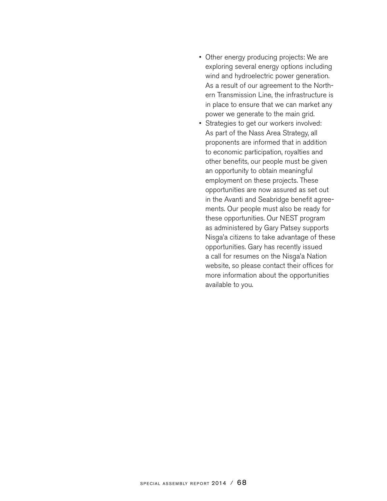- Other energy producing projects: We are exploring several energy options including wind and hydroelectric power generation. As a result of our agreement to the Northern Transmission Line, the infrastructure is in place to ensure that we can market any power we generate to the main grid.
- Strategies to get our workers involved: As part of the Nass Area Strategy, all proponents are informed that in addition to economic participation, royalties and other benefits, our people must be given an opportunity to obtain meaningful employment on these projects. These opportunities are now assured as set out in the Avanti and Seabridge benefit agreements. Our people must also be ready for these opportunities. Our NEST program as administered by Gary Patsey supports Nisga'a citizens to take advantage of these<br>conservatives Carybes resemby issued opportunities. Gary has recently issued a call for resumes on the Nisga'a Nation<br>website as alsose contest their offices fo website, so please contact their offices for more information about the opportunities available to you.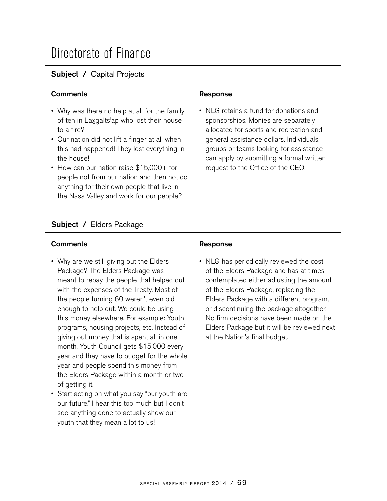## Directorate of Finance

## Subject / Capital Projects

## **Comments Comments Response**

- Why was there no help at all for the family of ten in Laxgalts'ap who lost their house to a fire?
- Our nation did not lift a finger at all when this had happened! They lost everything in the house!
- How can our nation raise \$15,000+ for people not from our nation and then not do anything for their own people that live in the Nass Valley and work for our people?

• NLG retains a fund for donations and sponsorships. Monies are separately allocated for sports and recreation and general assistance dollars. Individuals, groups or teams looking for assistance can apply by submitting a formal written request to the Office of the CEO.

## Subject / Elders Package

## Comments **Comments Response**

- Why are we still giving out the Elders Package? The Elders Package was meant to repay the people that helped out with the expenses of the Treaty. Most of the people turning 60 weren't even old enough to help out. We could be using this money elsewhere. For example: Youth programs, housing projects, etc. Instead of giving out money that is spent all in one month. Youth Council gets \$15,000 every year and they have to budget for the whole year and people spend this money from the Elders Package within a month or two of getting it.
- Start acting on what you say "our youth are our future." I hear this too much but I don't see anything done to actually show our youth that they mean a lot to us!

• NLG has periodically reviewed the cost of the Elders Package and has at times contemplated either adjusting the amount of the Elders Package, replacing the Elders Package with a different program, or discontinuing the package altogether. No firm decisions have been made on the Elders Package but it will be reviewed next at the Nation's final budget.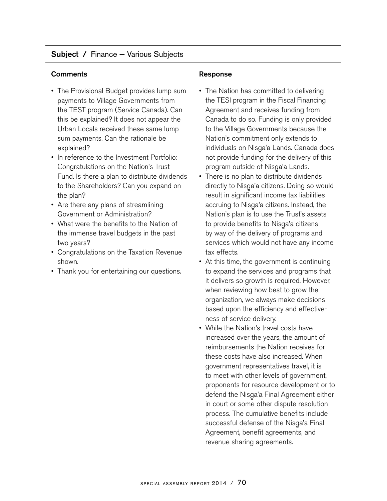## Subject / Finance — Various Subjects

## Comments **Comments Response**

- The Provisional Budget provides lump sum payments to Village Governments from the TEST program (Service Canada). Can this be explained? It does not appear the Urban Locals received these same lump sum payments. Can the rationale be explained?
- In reference to the Investment Portfolio: Congratulations on the Nation's Trust Fund. Is there a plan to distribute dividends to the Shareholders? Can you expand on the plan?
- Are there any plans of streamlining Government or Administration?
- What were the benefits to the Nation of the immense travel budgets in the past two years?
- Congratulations on the Taxation Revenue shown.
- Thank you for entertaining our questions.

- The Nation has committed to delivering the TESI program in the Fiscal Financing Agreement and receives funding from Canada to do so. Funding is only provided to the Village Governments because the Nation's commitment only extends to individuals on Nisga'a Lands. Canada does<br>net provide funding for the delivery of this not provide funding for the delivery of this program outside of Nisga'a Lands.<br>There is no plan to distribute divide
- There is no plan to distribute dividends directly to Nisga'a citizens. Doing so would<br>requit in eignificant income toy lighilities result in significant income tax liabilities accruing to Nisga'a citizens. Instead, the<br>Nation's plan is to use the Truet's seeste Nation's plan is to use the Trust's assets to provide benefits to Nisga'a citizens<br>huway of the delivery of pregrams and by way of the delivery of programs and services which would not have any income tax effects.
- At this time, the government is continuing to expand the services and programs that it delivers so growth is required. However, when reviewing how best to grow the organization, we always make decisions based upon the efficiency and effectiveness of service delivery.
- While the Nation's travel costs have increased over the years, the amount of reimbursements the Nation receives for these costs have also increased. When government representatives travel, it is to meet with other levels of government, proponents for resource development or to defend the Nisga'a Final Agreement either<br>in eauther same other dispute resolution in court or some other dispute resolution process. The cumulative benefits include successful defense of the Nisga'a Final<br>Asreement, benefit essemente, and Agreement, benefit agreements, and revenue sharing agreements.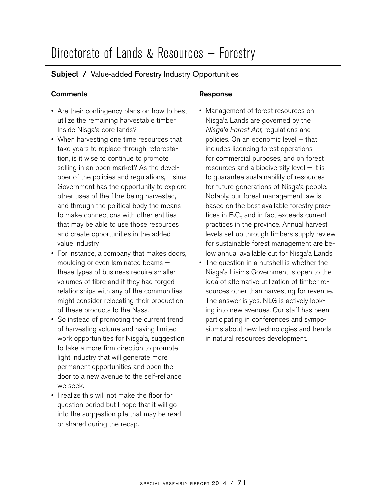## Subject / Value-added Forestry Industry Opportunities

## **Comments Comments Response**

- Are their contingency plans on how to best utilize the remaining harvestable timber Inside Nisga'a core lands?<br>Whan beryesting and time
- When harvesting one time resources that take years to replace through reforestation, is it wise to continue to promote selling in an open market? As the developer of the policies and regulations, Lisims Government has the opportunity to explore other uses of the fibre being harvested, and through the political body the means to make connections with other entities that may be able to use those resources and create opportunities in the added value industry.
- For instance, a company that makes doors, moulding or even laminated beams these types of business require smaller volumes of fibre and if they had forged relationships with any of the communities might consider relocating their production of these products to the Nass.
- So instead of promoting the current trend of harvesting volume and having limited work opportunities for Nisga'a, suggestion<br>te take a mare firm direction to promote to take a more firm direction to promote light industry that will generate more permanent opportunities and open the door to a new avenue to the self-reliance we seek.
- I realize this will not make the floor for question period but I hope that it will go into the suggestion pile that may be read or shared during the recap.

- Management of forest resources on Nisga'a Lands are governed by the<br>Nisga's Essect Act requisions and *Nisga'a Forest Act,* regulations and policies. On an economic level — that includes licencing forest operations for commercial purposes, and on forest resources and a biodiversity level — it is to guarantee sustainability of resources for future generations of Nisga'a people.<br>Natably our farest management low is Notably, our forest management law is based on the best available forestry practices in B.C., and in fact exceeds current practices in the province. Annual harvest levels set up through timbers supply review for sustainable forest management are below annual available cut for Nisga'a Lands.<br>The question in a putabell is whather the
- The question in a nutshell is whether the Nisga'a Lisims Government is open to the<br>idea of alternative utilization of timber re idea of alternative utilization of timber resources other than harvesting for revenue. The answer is yes. NLG is actively looking into new avenues. Our staff has been participating in conferences and symposiums about new technologies and trends in natural resources development.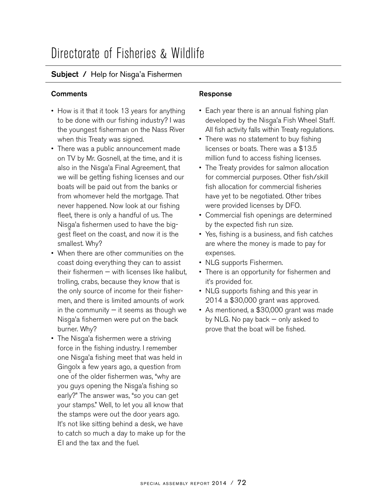## Directorate of Fisheries & Wildlife

## Subject / Help for Nisga'a Fishermen<br>————————————————————

## **Comments Comments Response**

- How is it that it took 13 years for anything to be done with our fishing industry? I was the youngest fisherman on the Nass River when this Treaty was signed.
- There was a public announcement made on TV by Mr. Gosnell, at the time, and it is also in the Nisga'a Final Agreement, that<br>we will be astting fishing licenses and aw we will be getting fishing licenses and our boats will be paid out from the banks or from whomever held the mortgage. That never happened. Now look at our fishing fleet, there is only a handful of us. The Nisga'a fishermen used to have the big-<br>aast flast an the seest, and now it is the gest fleet on the coast, and now it is the smallest. Why?
- When there are other communities on the coast doing everything they can to assist their fishermen — with licenses like halibut, trolling, crabs, because they know that is the only source of income for their fishermen, and there is limited amounts of work in the community  $-$  it seems as though we Nisga'a fishermen were put on the back<br>burner Why? burner. Why?
- The Nisga'a fishermen were a striving<br>ferse in the fishing industry I remembe force in the fishing industry. I remember one Nisga'a fishing meet that was held in<br>Cinaaly o faw yoors ago a quastian from Gingolx a few years ago, a question from<br>ans of the alder finherman was "why are. one of the older fishermen was, "why are you guys opening the Nisga'a fishing so<br>aashy?" The angust was "so you are got. early?" The answer was, "so you can get your stamps." Well, to let you all know that the stamps were out the door years ago. It's not like sitting behind a desk, we have to catch so much a day to make up for the EI and the tax and the fuel.

- Each year there is an annual fishing plan developed by the Nisga'a Fish Wheel Staff.<br>All fish estivity followithin Treaty requlations. All fish activity falls within Treaty regulations.
- There was no statement to buy fishing licenses or boats. There was a \$13.5 million fund to access fishing licenses.
- The Treaty provides for salmon allocation for commercial purposes. Other fish/skill fish allocation for commercial fisheries have yet to be negotiated. Other tribes were provided licenses by DFO.
- Commercial fish openings are determined by the expected fish run size.
- Yes, fishing is a business, and fish catches are where the money is made to pay for expenses.
- NLG supports Fishermen.
- There is an opportunity for fishermen and it's provided for.
- NLG supports fishing and this year in 2014 a \$30,000 grant was approved.
- As mentioned, a \$30,000 grant was made by NLG. No pay back — only asked to prove that the boat will be fished.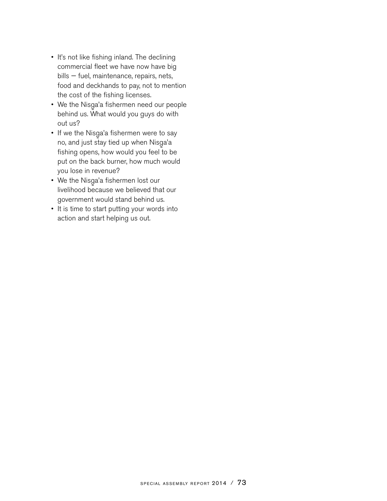- It's not like fishing inland. The declining commercial fleet we have now have big bills — fuel, maintenance, repairs, nets, food and deckhands to pay, not to mention the cost of the fishing licenses.
- We the Nisga'a fishermen need our people<br>hebind us What would very sump do with behind us. What would you guys do with out us?
- If we the Nisga'a fishermen were to say<br> no, and just stay tied up when Nisga'a<br>fishing anana hawweyld vou faal ta h fishing opens, how would you feel to be put on the back burner, how much would you lose in revenue?
- We the Nisga'a fishermen lost our<br>clinical hassesses we halisuad the livelihood because we believed that our government would stand behind us.
- It is time to start putting your words into action and start helping us out.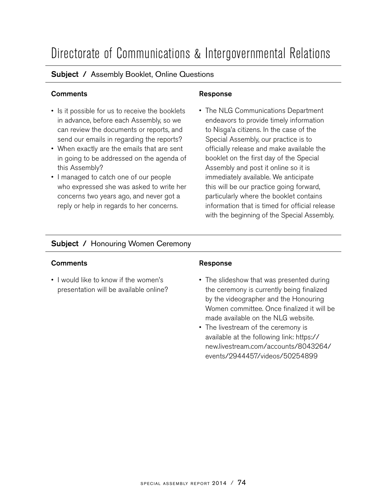## Directorate of Communications & Intergovernmental Relations

## Subject / Assembly Booklet, Online Questions

## **Comments Comments Response**

- Is it possible for us to receive the booklets in advance, before each Assembly, so we can review the documents or reports, and send our emails in regarding the reports?
- When exactly are the emails that are sent in going to be addressed on the agenda of this Assembly?
- I managed to catch one of our people who expressed she was asked to write her concerns two years ago, and never got a reply or help in regards to her concerns.

• The NLG Communications Department endeavors to provide timely information to Nisga'a citizens. In the case of the<br>Seccial Assembly sur prectice is to Special Assembly, our practice is to officially release and make available the booklet on the first day of the Special Assembly and post it online so it is immediately available. We anticipate this will be our practice going forward, particularly where the booklet contains information that is timed for official release with the beginning of the Special Assembly.

## Subject / Honouring Women Ceremony

### **Comments Response**

• I would like to know if the women's presentation will be available online?

- The slideshow that was presented during the ceremony is currently being finalized by the videographer and the Honouring Women committee. Once finalized it will be made available on the NLG website.
- The livestream of the ceremony is available at the following link: https:// new.livestream.com/accounts/8043264/ events/2944457/videos/50254899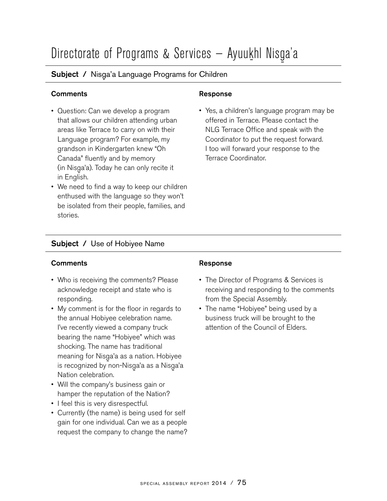# Directorate of Programs & Services — Ayuu<u>k</u>hl Nisga'a<br>————————————————————

## Subject / Nisga'a Language Programs for Children

## **Comments Comments Response**

- Question: Can we develop a program that allows our children attending urban areas like Terrace to carry on with their Language program? For example, my grandson in Kindergarten knew "Oh Canada" fluently and by memory (in Nisga'a). Today he can only recite it<br>in Enslieb in English.
- We need to find a way to keep our children enthused with the language so they won't be isolated from their people, families, and stories.

• Yes, a children's language program may be offered in Terrace. Please contact the NLG Terrace Office and speak with the Coordinator to put the request forward. I too will forward your response to the Terrace Coordinator.

## Subject / Use of Hobiyee Name

### **Comments Response**

- Who is receiving the comments? Please acknowledge receipt and state who is responding.
- My comment is for the floor in regards to the annual Hobiyee celebration name. I've recently viewed a company truck bearing the name "Hobiyee" which was shocking. The name has traditional meaning for Nisga'a as a nation. Hobiyee<br>is recognized by nea Nisga's as a Nisga's is recognized by non-Nisga'a as a Nisga'a<br>Nation aslabration Nation celebration.
- Will the company's business gain or hamper the reputation of the Nation?
- I feel this is very disrespectful.
- Currently (the name) is being used for self gain for one individual. Can we as a people request the company to change the name?

- The Director of Programs & Services is receiving and responding to the comments from the Special Assembly.
- The name "Hobiyee" being used by a business truck will be brought to the attention of the Council of Elders.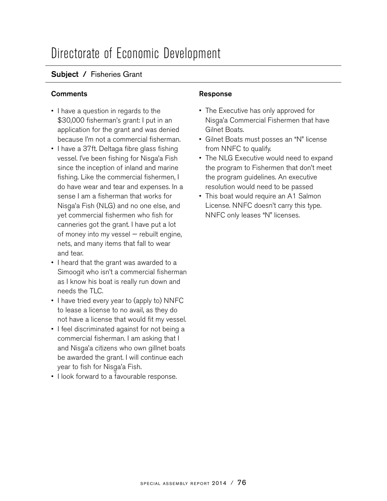## Directorate of Economic Development

## Subject / Fisheries Grant

## **Comments Comments Response**

- I have a question in regards to the \$30,000 fisherman's grant: I put in an application for the grant and was denied because I'm not a commercial fisherman.
- I have a 37ft. Deltaga fibre glass fishing vessel. I've been fishing for Nisga'a Fish<br>ainee the incention of inland and merine since the inception of inland and marine fishing. Like the commercial fishermen, I do have wear and tear and expenses. In a sense I am a fisherman that works for Nisga'a Fish (NLG) and no one else, and<br>ust commercial fishermen who fish for yet commercial fishermen who fish for canneries got the grant. I have put a lot of money into my vessel — rebuilt engine, nets, and many items that fall to wear and tear.
- I heard that the grant was awarded to a Simoogit who isn't a commercial fisherman as I know his boat is really run down and needs the TLC.
- I have tried every year to (apply to) NNFC to lease a license to no avail, as they do not have a license that would fit my vessel.
- I feel discriminated against for not being a commercial fisherman. I am asking that I and Nisga'a citizens who own gillnet boats<br>he awarded the arent Luill centinus soch be awarded the grant. I will continue each year to fish for Nisga'a Fish.<br>Llock farverd to e fovevrebl
- I look forward to a favourable response.

- The Executive has only approved for Nisga'a Commercial Fishermen that have<br>Cilnet Beste Gilnet Boats.
- Gilnet Boats must posses an "N" license from NNFC to qualify.
- The NLG Executive would need to expand the program to Fishermen that don't meet the program guidelines. An executive resolution would need to be passed
- This boat would require an A1 Salmon License. NNFC doesn't carry this type. NNFC only leases "N" licenses.